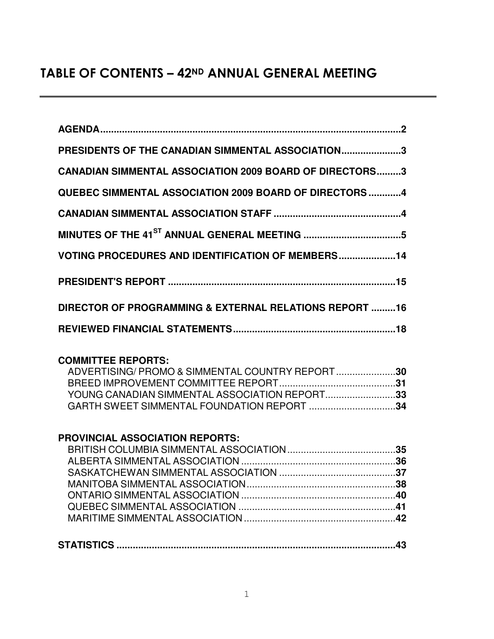# TABLE OF CONTENTS – 42ND ANNUAL GENERAL MEETING

| PRESIDENTS OF THE CANADIAN SIMMENTAL ASSOCIATION3              |
|----------------------------------------------------------------|
| <b>CANADIAN SIMMENTAL ASSOCIATION 2009 BOARD OF DIRECTORS3</b> |
| <b>QUEBEC SIMMENTAL ASSOCIATION 2009 BOARD OF DIRECTORS 4</b>  |
|                                                                |
|                                                                |
| <b>VOTING PROCEDURES AND IDENTIFICATION OF MEMBERS14</b>       |
|                                                                |
| DIRECTOR OF PROGRAMMING & EXTERNAL RELATIONS REPORT 16         |
|                                                                |

## **COMMITTEE REPORTS:**

| ADVERTISING/PROMO & SIMMENTAL COUNTRY REPORT30 |  |
|------------------------------------------------|--|
|                                                |  |
| YOUNG CANADIAN SIMMENTAL ASSOCIATION REPORT33  |  |
| GARTH SWEET SIMMENTAL FOUNDATION REPORT 34     |  |

# **PROVINCIAL ASSOCIATION REPORTS:**

| . — . —. - —. - - - |  |
|---------------------|--|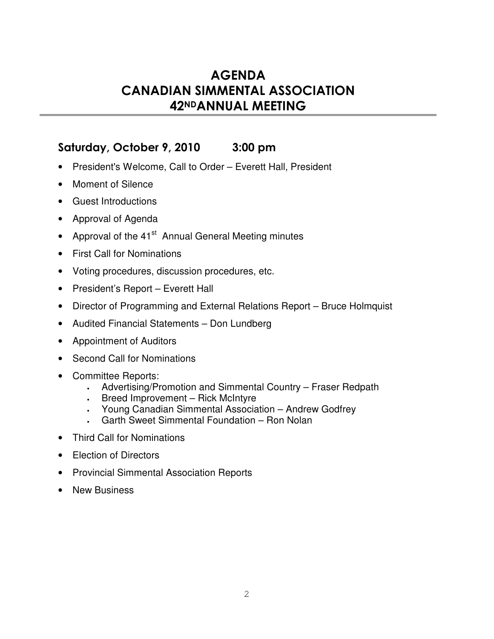# **AGENDA CANADIAN SIMMENTAL ASSOCIATION** 42NDANNUAL MEETING

# Saturday, October 9, 2010 3:00 pm

- President's Welcome, Call to Order Everett Hall, President
- Moment of Silence
- Guest Introductions
- Approval of Agenda
- Approval of the 41<sup>st</sup> Annual General Meeting minutes
- First Call for Nominations
- Voting procedures, discussion procedures, etc.
- President's Report Everett Hall
- Director of Programming and External Relations Report Bruce Holmquist
- Audited Financial Statements Don Lundberg
- Appointment of Auditors
- Second Call for Nominations
- Committee Reports:
	- Advertising/Promotion and Simmental Country Fraser Redpath
	- Breed Improvement Rick McIntyre
	- Young Canadian Simmental Association Andrew Godfrey
	- Garth Sweet Simmental Foundation Ron Nolan
- Third Call for Nominations
- Election of Directors
- Provincial Simmental Association Reports
- New Business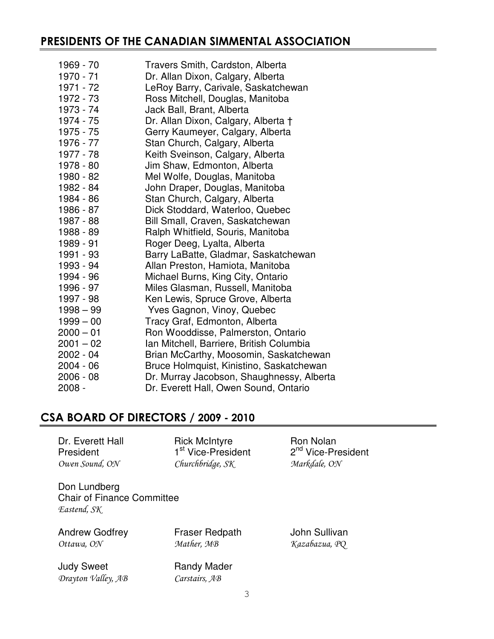# PRESIDENTS OF THE CANADIAN SIMMENTAL ASSOCIATION

| 1969 - 70   | Travers Smith, Cardston, Alberta          |
|-------------|-------------------------------------------|
| 1970 - 71   | Dr. Allan Dixon, Calgary, Alberta         |
| 1971 - 72   | LeRoy Barry, Carivale, Saskatchewan       |
| 1972 - 73   | Ross Mitchell, Douglas, Manitoba          |
| 1973 - 74   | Jack Ball, Brant, Alberta                 |
| 1974 - 75   | Dr. Allan Dixon, Calgary, Alberta †       |
| 1975 - 75   | Gerry Kaumeyer, Calgary, Alberta          |
| 1976 - 77   | Stan Church, Calgary, Alberta             |
| 1977 - 78   | Keith Sveinson, Calgary, Alberta          |
| 1978 - 80   | Jim Shaw, Edmonton, Alberta               |
| 1980 - 82   | Mel Wolfe, Douglas, Manitoba              |
| 1982 - 84   | John Draper, Douglas, Manitoba            |
| 1984 - 86   | Stan Church, Calgary, Alberta             |
| 1986 - 87   | Dick Stoddard, Waterloo, Quebec           |
| 1987 - 88   | Bill Small, Craven, Saskatchewan          |
| 1988 - 89   | Ralph Whitfield, Souris, Manitoba         |
| 1989 - 91   | Roger Deeg, Lyalta, Alberta               |
| 1991 - 93   | Barry LaBatte, Gladmar, Saskatchewan      |
| 1993 - 94   | Allan Preston, Hamiota, Manitoba          |
| 1994 - 96   | Michael Burns, King City, Ontario         |
| 1996 - 97   | Miles Glasman, Russell, Manitoba          |
| 1997 - 98   | Ken Lewis, Spruce Grove, Alberta          |
| $1998 - 99$ | Yves Gagnon, Vinoy, Quebec                |
| $1999 - 00$ | Tracy Graf, Edmonton, Alberta             |
| $2000 - 01$ | Ron Wooddisse, Palmerston, Ontario        |
| $2001 - 02$ | Ian Mitchell, Barriere, British Columbia  |
| 2002 - 04   | Brian McCarthy, Moosomin, Saskatchewan    |
| 2004 - 06   | Bruce Holmquist, Kinistino, Saskatchewan  |
| $2006 - 08$ | Dr. Murray Jacobson, Shaughnessy, Alberta |
| $2008 -$    | Dr. Everett Hall, Owen Sound, Ontario     |

# CSA BOARD OF DIRECTORS / 2009 - 2010

| Dr. Everett Hall<br>President                                    | <b>Rick McIntyre</b><br>1 <sup>st</sup> Vice-President | Ron Nolan<br>2 <sup>nd</sup> Vice-President |
|------------------------------------------------------------------|--------------------------------------------------------|---------------------------------------------|
| Owen Sound, ON                                                   | Churchbridge, SK                                       | Markdale, ON                                |
| Don Lundberg<br><b>Chair of Finance Committee</b><br>Eastend, SK |                                                        |                                             |
| <b>Andrew Godfrey</b><br>Ottawa, ON                              | <b>Fraser Redpath</b><br>Mather, MB                    | John Sullivan<br>Kazabazua, PQ              |
| <b>Judy Sweet</b><br>Drayton Valley, AB                          | <b>Randy Mader</b><br>Carstairs, AB                    |                                             |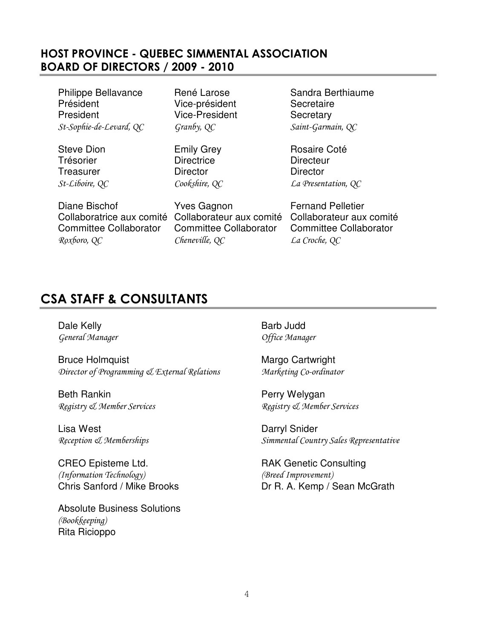# HOST PROVINCE - QUEBEC SIMMENTAL ASSOCIATION BOARD OF DIRECTORS / 2009 - 2010

Philippe Bellavance René Larose Sandra Berthiaume Président Vice-président Secretaire President Vice-President Secretary St-Sophie-de-Levard, QC

Trésorier **Directrice** Directrice **Directeur** Treasurer **Director** Director **Director** St-Liboire, QC

Granby, QC

Cookshire, QC

QC Saint-Garmain, QC

Steve Dion **Emily Grey** Rosaire Coté QC La Presentation, QC

Diane Bischof **Yves Gagnon** Fernand Pelletier Committee Collaborator Committee Collaborator Committee Collaborator Roxboro, QC

Cheneville, QC QC La Croche, QC

Collaboratrice aux comité Collaborateur aux comité Collaborateur aux comité

# CSA STAFF & CONSULTANTS

Dale Kelly **Barb Judd** General Manager Communication of the Manager

Bruce Holmquist **Margo Cartwright** Margo Cartwright Director of Programming & External Relations Marketing Co-ordinator

Beth Rankin **Perry Welygan** Registry & Member Services Registry & Member Services

Lisa West **Darryl Snider** 

CREO Episteme Ltd. RAK Genetic Consulting (Information Technology) (Breed Improvement)

Absolute Business Solutions (Bookkeeping) Rita Ricioppo

Reception *J.* Memberships **Simmental Country Sales Representative** Simmental Country Sales Representative

Chris Sanford / Mike Brooks Dr R. A. Kemp / Sean McGrath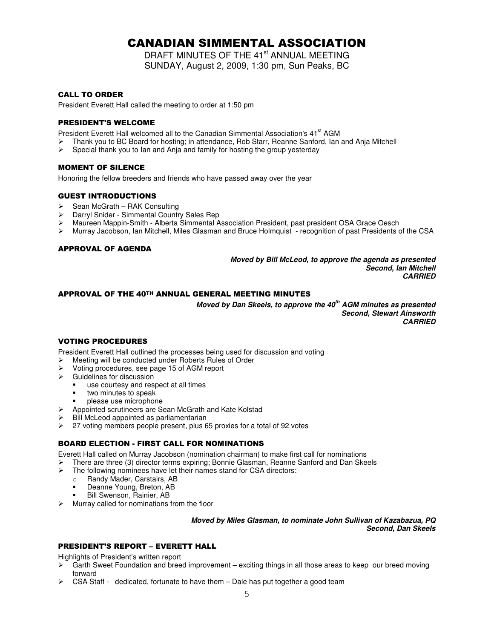# CANADIAN SIMMENTAL ASSOCIATION

DRAFT MINUTES OF THE 41<sup>st</sup> ANNUAL MEETING SUNDAY, August 2, 2009, 1:30 pm, Sun Peaks, BC

### **CALL TO ORDER**

President Everett Hall called the meeting to order at 1:50 pm

### **PRESIDENT'S WELCOME**

President Everett Hall welcomed all to the Canadian Simmental Association's 41<sup>st</sup> AGM

- Thank you to BC Board for hosting; in attendance, Rob Starr, Reanne Sanford, Ian and Anja Mitchell<br>
Special thank you to Ian and Anja and family for hosting the group vesterday
- Special thank you to Ian and Anja and family for hosting the group yesterday

### **MOMENT OF SILENCE**

Honoring the fellow breeders and friends who have passed away over the year

### **GUEST INTRODUCTIONS**

- Sean McGrath RAK Consulting
- Darryl Snider Simmental Country Sales Rep
- Maureen Mappin-Smith Alberta Simmental Association President, past president OSA Grace Oesch
- Murray Jacobson, Ian Mitchell, Miles Glasman and Bruce Holmquist recognition of past Presidents of the CSA

### APPROVAL OF AGENDA

*Moved by Bill McLeod, to approve the agenda as presented Second, Ian Mitchell CARRIED*

### APPROVAL OF THE 40TH ANNUAL GENERAL MEETING MINUTES

*Moved by Dan Skeels, to approve the 40 th AGM minutes as presented Second, Stewart Ainsworth CARRIED*

### **VOTING PROCEDURES**

President Everett Hall outlined the processes being used for discussion and voting

- Meeting will be conducted under Roberts Rules of Order
- Voting procedures, see page 15 of AGM report
- $\triangleright$  Guidelines for discussion
	- use courtesy and respect at all times
	- two minutes to speak
	- please use microphone
- Appointed scrutineers are Sean McGrath and Kate Kolstad
- $\triangleright$  Bill McLeod appointed as parliamentarian<br> $\triangleright$  27 voting members people present plus 6
- 27 voting members people present, plus 65 proxies for a total of 92 votes

### BOARD ELECTION - FIRST CALL FOR NOMINATIONS

Everett Hall called on Murray Jacobson (nomination chairman) to make first call for nominations

- There are three (3) director terms expiring; Bonnie Glasman, Reanne Sanford and Dan Skeels<br>
The following nominees have let their names stand for CSA directors:
- The following nominees have let their names stand for CSA directors:
	- o Randy Mader, Carstairs, AB
	- -Deanne Young, Breton, AB
	- -Bill Swenson, Rainier, AB
- Murray called for nominations from the floor

#### *Moved by Miles Glasman, to nominate John Sullivan of Kazabazua, PQ Second, Dan Skeels*

### **PRESIDENT'S REPORT - EVERETT HALL**

Highlights of President's written report

- $\triangleright$  Garth Sweet Foundation and breed improvement exciting things in all those areas to keep our breed moving forward
- CSA Staff dedicated, fortunate to have them Dale has put together a good team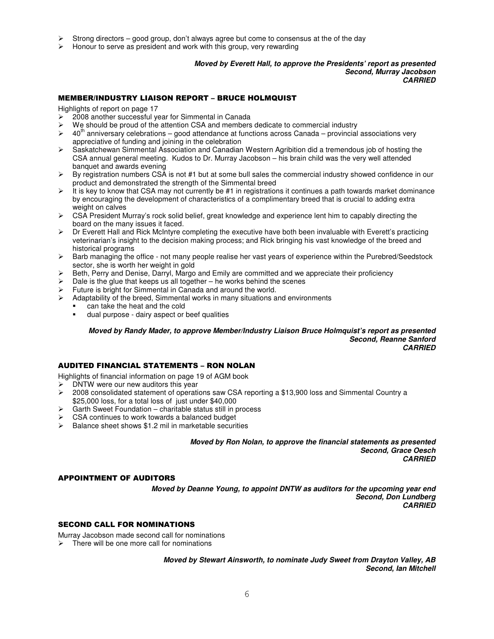- Strong directors good group, don't always agree but come to consensus at the of the day
- Honour to serve as president and work with this group, very rewarding

### *Moved by Everett Hall, to approve the Presidents' report as presented Second, Murray Jacobson CARRIED*

### **MEMBER/INDUSTRY LIAISON REPORT - BRUCE HOLMQUIST**

Highlights of report on page 17

- $\geq$  2008 another successful year for Simmental in Canada
- $\triangleright$  We should be proud of the attention CSA and members dedicate to commercial industry
- $\triangleright$  40<sup>th</sup> anniversary celebrations good attendance at functions across Canada provincial associations very appreciative of funding and joining in the celebration
- Saskatchewan Simmental Association and Canadian Western Agribition did a tremendous job of hosting the CSA annual general meeting. Kudos to Dr. Murray Jacobson – his brain child was the very well attended banquet and awards evening
- $\triangleright$  By registration numbers CSA is not #1 but at some bull sales the commercial industry showed confidence in our product and demonstrated the strength of the Simmental breed
- $\triangleright$  It is key to know that CSA may not currently be #1 in registrations it continues a path towards market dominance by encouraging the development of characteristics of a complimentary breed that is crucial to adding extra weight on calves
- $\triangleright$  CSA President Murray's rock solid belief, great knowledge and experience lent him to capably directing the board on the many issues it faced.
- $\triangleright$  Dr Everett Hall and Rick McIntyre completing the executive have both been invaluable with Everett's practicing veterinarian's insight to the decision making process; and Rick bringing his vast knowledge of the breed and historical programs
- Barb managing the office not many people realise her vast years of experience within the Purebred/Seedstock sector, she is worth her weight in gold
- Beth, Perry and Denise, Darryl, Margo and Emily are committed and we appreciate their proficiency
- Dale is the glue that keeps us all together he works behind the scenes
- Future is bright for Simmental in Canada and around the world.
- $\triangleright$  Adaptability of the breed, Simmental works in many situations and environments
	- can take the heat and the cold
	- dual purpose - dairy aspect or beef qualities

*Moved by Randy Mader, to approve Member/Industry Liaison Bruce Holmquist's report as presented Second, Reanne Sanford CARRIED*

### AUDITED FINANCIAL STATEMENTS – RON NOLAN

Highlights of financial information on page 19 of AGM book

- $\triangleright$  DNTW were our new auditors this year<br> $\triangleright$  2008 consolidated statement of operation
- 2008 consolidated statement of operations saw CSA reporting a \$13,900 loss and Simmental Country a \$25,000 loss, for a total loss of just under \$40,000
- Garth Sweet Foundation charitable status still in process
- CSA continues to work towards a balanced budget
- $\triangleright$  Balance sheet shows \$1.2 mil in marketable securities

*Moved by Ron Nolan, to approve the financial statements as presented Second, Grace Oesch CARRIED*

### **APPOINTMENT OF AUDITORS**

*Moved by Deanne Young, to appoint DNTW as auditors for the upcoming year end Second, Don Lundberg CARRIED*

### SECOND CALL FOR NOMINATIONS

Murray Jacobson made second call for nominations There will be one more call for nominations

> *Moved by Stewart Ainsworth, to nominate Judy Sweet from Drayton Valley, AB Second, Ian Mitchell*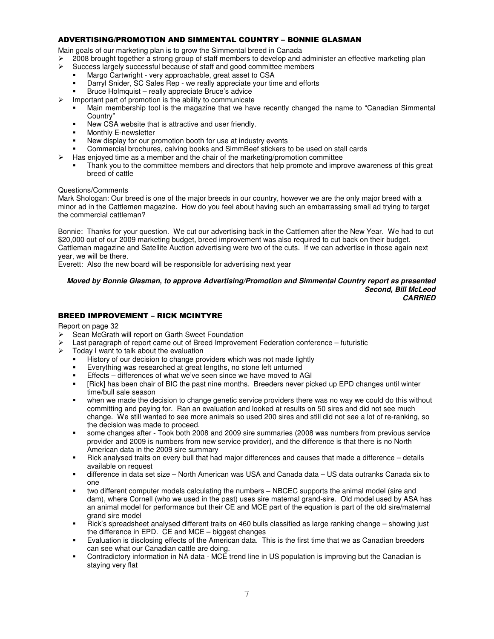### ADVERTISING/PROMOTION AND SIMMENTAL COUNTRY – BONNIE GLASMAN

Main goals of our marketing plan is to grow the Simmental breed in Canada

- 2008 brought together a strong group of staff members to develop and administer an effective marketing plan
- Success largely successful because of staff and good committee members
	- -Margo Cartwright - very approachable, great asset to CSA
	- -Darryl Snider, SC Sales Rep - we really appreciate your time and efforts
	- -Bruce Holmquist – really appreciate Bruce's advice
- $\triangleright$  Important part of promotion is the ability to communicate
	- - Main membership tool is the magazine that we have recently changed the name to "Canadian Simmental Country"
	- -New CSA website that is attractive and user friendly.
	- -Monthly E-newsletter
	- -New display for our promotion booth for use at industry events
	- -Commercial brochures, calving books and SimmBeef stickers to be used on stall cards
	- Has enjoyed time as a member and the chair of the marketing/promotion committee
	- - Thank you to the committee members and directors that help promote and improve awareness of this great breed of cattle

### Questions/Comments

Mark Shologan: Our breed is one of the major breeds in our country, however we are the only major breed with a minor ad in the Cattlemen magazine. How do you feel about having such an embarrassing small ad trying to target the commercial cattleman?

Bonnie: Thanks for your question. We cut our advertising back in the Cattlemen after the New Year. We had to cut \$20,000 out of our 2009 marketing budget, breed improvement was also required to cut back on their budget. Cattleman magazine and Satellite Auction advertising were two of the cuts. If we can advertise in those again next year, we will be there.

Everett: Also the new board will be responsible for advertising next year

#### *Moved by Bonnie Glasman, to approve Advertising/Promotion and Simmental Country report as presented Second, Bill McLeod CARRIED*

### **BREED IMPROVEMENT - RICK MCINTYRE**

Report on page 32

- Sean McGrath will report on Garth Sweet Foundation
- Last paragraph of report came out of Breed Improvement Federation conference futuristic
- $\triangleright$  Today I want to talk about the evaluation
	- -History of our decision to change providers which was not made lightly
	- -Everything was researched at great lengths, no stone left unturned
	- -Effects – differences of what we've seen since we have moved to AGI
	- - [Rick] has been chair of BIC the past nine months. Breeders never picked up EPD changes until winter time/bull sale season
	- when we made the decision to change genetic service providers there was no way we could do this without committing and paying for. Ran an evaluation and looked at results on 50 sires and did not see much change. We still wanted to see more animals so used 200 sires and still did not see a lot of re-ranking, so the decision was made to proceed.
	- some changes after - Took both 2008 and 2009 sire summaries (2008 was numbers from previous service provider and 2009 is numbers from new service provider), and the difference is that there is no North American data in the 2009 sire summary
	- - Rick analysed traits on every bull that had major differences and causes that made a difference – details available on request
	- difference in data set size – North American was USA and Canada data – US data outranks Canada six to one
	- two different computer models calculating the numbers – NBCEC supports the animal model (sire and dam), where Cornell (who we used in the past) uses sire maternal grand-sire. Old model used by ASA has an animal model for performance but their CE and MCE part of the equation is part of the old sire/maternal grand sire model
	- - Rick's spreadsheet analysed different traits on 460 bulls classified as large ranking change – showing just the difference in EPD. CE and MCE – biggest changes
	- - Evaluation is disclosing effects of the American data. This is the first time that we as Canadian breeders can see what our Canadian cattle are doing.
	- - Contradictory information in NA data - MCE trend line in US population is improving but the Canadian is staying very flat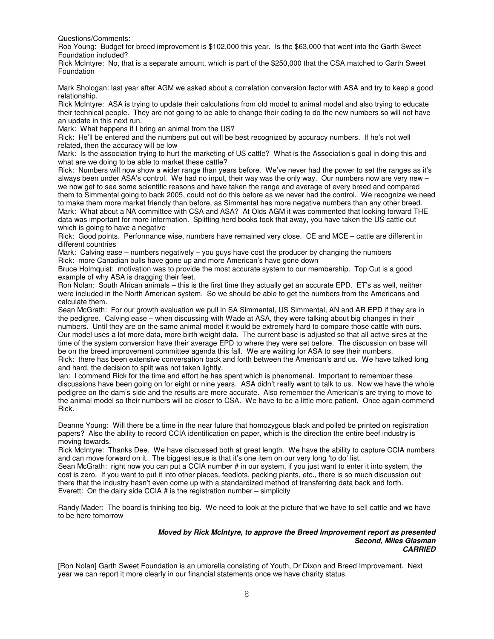Questions/Comments:

Rob Young: Budget for breed improvement is \$102,000 this year. Is the \$63,000 that went into the Garth Sweet Foundation included?

Rick McIntyre: No, that is a separate amount, which is part of the \$250,000 that the CSA matched to Garth Sweet Foundation

Mark Shologan: last year after AGM we asked about a correlation conversion factor with ASA and try to keep a good relationship.

Rick McIntyre: ASA is trying to update their calculations from old model to animal model and also trying to educate their technical people. They are not going to be able to change their coding to do the new numbers so will not have an update in this next run.

Mark: What happens if I bring an animal from the US?

Rick: He'll be entered and the numbers put out will be best recognized by accuracy numbers. If he's not well related, then the accuracy will be low

Mark: Is the association trying to hurt the marketing of US cattle? What is the Association's goal in doing this and what are we doing to be able to market these cattle?

Rick: Numbers will now show a wider range than years before. We've never had the power to set the ranges as it's always been under ASA's control. We had no input, their way was the only way. Our numbers now are very new – we now get to see some scientific reasons and have taken the range and average of every breed and compared them to Simmental going to back 2005, could not do this before as we never had the control. We recognize we need to make them more market friendly than before, as Simmental has more negative numbers than any other breed. Mark: What about a NA committee with CSA and ASA? At Olds AGM it was commented that looking forward THE data was important for more information. Splitting herd books took that away, you have taken the US cattle out which is going to have a negative

Rick: Good points. Performance wise, numbers have remained very close. CE and MCE – cattle are different in different countries

Mark: Calving ease – numbers negatively – you guys have cost the producer by changing the numbers Rick: more Canadian bulls have gone up and more American's have gone down

Bruce Holmquist: motivation was to provide the most accurate system to our membership. Top Cut is a good example of why ASA is dragging their feet.

Ron Nolan: South African animals – this is the first time they actually get an accurate EPD. ET's as well, neither were included in the North American system. So we should be able to get the numbers from the Americans and calculate them.

Sean McGrath: For our growth evaluation we pull in SA Simmental, US Simmental, AN and AR EPD if they are in the pedigree. Calving ease – when discussing with Wade at ASA, they were talking about big changes in their numbers. Until they are on the same animal model it would be extremely hard to compare those cattle with ours. Our model uses a lot more data, more birth weight data. The current base is adjusted so that all active sires at the time of the system conversion have their average EPD to where they were set before. The discussion on base will be on the breed improvement committee agenda this fall. We are waiting for ASA to see their numbers. Rick: there has been extensive conversation back and forth between the American's and us. We have talked long

and hard, the decision to split was not taken lightly.

Ian: I commend Rick for the time and effort he has spent which is phenomenal. Important to remember these discussions have been going on for eight or nine years. ASA didn't really want to talk to us. Now we have the whole pedigree on the dam's side and the results are more accurate. Also remember the American's are trying to move to the animal model so their numbers will be closer to CSA. We have to be a little more patient. Once again commend Rick.

Deanne Young: Will there be a time in the near future that homozygous black and polled be printed on registration papers? Also the ability to record CCIA identification on paper, which is the direction the entire beef industry is moving towards.

Rick McIntyre: Thanks Dee. We have discussed both at great length. We have the ability to capture CCIA numbers and can move forward on it. The biggest issue is that it's one item on our very long 'to do' list.

Sean McGrath: right now you can put a CCIA number # in our system, if you just want to enter it into system, the cost is zero. If you want to put it into other places, feedlots, packing plants, etc., there is so much discussion out there that the industry hasn't even come up with a standardized method of transferring data back and forth. Everett: On the dairy side CCIA # is the registration number – simplicity

Randy Mader: The board is thinking too big. We need to look at the picture that we have to sell cattle and we have to be here tomorrow

#### *Moved by Rick McIntyre, to approve the Breed Improvement report as presented Second, Miles Glasman CARRIED*

[Ron Nolan] Garth Sweet Foundation is an umbrella consisting of Youth, Dr Dixon and Breed Improvement. Next year we can report it more clearly in our financial statements once we have charity status.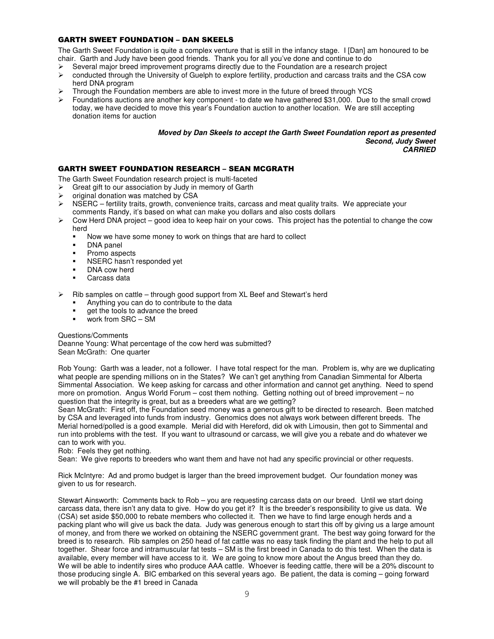### GARTH SWEET FOUNDATION - DAN SKEELS

The Garth Sweet Foundation is quite a complex venture that is still in the infancy stage. I [Dan] am honoured to be chair. Garth and Judy have been good friends. Thank you for all you've done and continue to do

- Several major breed improvement programs directly due to the Foundation are a research project<br>  $\geq$  conducted through the University of Guelph to explore fertility production and carcass traits and the
- conducted through the University of Guelph to explore fertility, production and carcass traits and the CSA cow herd DNA program
- Through the Foundation members are able to invest more in the future of breed through YCS
- Foundations auctions are another key component to date we have gathered \$31,000. Due to the small crowd today, we have decided to move this year's Foundation auction to another location. We are still accepting donation items for auction

#### *Moved by Dan Skeels to accept the Garth Sweet Foundation report as presented Second, Judy Sweet CARRIED*

### GARTH SWEET FOUNDATION RESEARCH – SEAN MCGRATH

The Garth Sweet Foundation research project is multi-faceted

- $\triangleright$  Great gift to our association by Judy in memory of Garth
- 
- $\triangleright$  original donation was matched by CSA<br> $\triangleright$  NSERC fertility traits, growth, convent NSERC – fertility traits, growth, convenience traits, carcass and meat quality traits. We appreciate your comments Randy, it's based on what can make you dollars and also costs dollars
- $\triangleright$  Cow Herd DNA project good idea to keep hair on your cows. This project has the potential to change the cow herd
	- -Now we have some money to work on things that are hard to collect
	- -DNA panel
	- -Promo aspects
	- -NSERC hasn't responded yet
	- -DNA cow herd
	- -Carcass data
- Rib samples on cattle through good support from XL Beef and Stewart's herd
	- -Anything you can do to contribute to the data
	- get the tools to advance the breed
	- work from SRC – SM

Questions/Comments

Deanne Young: What percentage of the cow herd was submitted? Sean McGrath: One quarter

Rob Young: Garth was a leader, not a follower. I have total respect for the man. Problem is, why are we duplicating what people are spending millions on in the States? We can't get anything from Canadian Simmental for Alberta Simmental Association. We keep asking for carcass and other information and cannot get anything. Need to spend more on promotion. Angus World Forum – cost them nothing. Getting nothing out of breed improvement – no question that the integrity is great, but as a breeders what are we getting?

Sean McGrath: First off, the Foundation seed money was a generous gift to be directed to research. Been matched by CSA and leveraged into funds from industry. Genomics does not always work between different breeds. The Merial horned/polled is a good example. Merial did with Hereford, did ok with Limousin, then got to Simmental and run into problems with the test. If you want to ultrasound or carcass, we will give you a rebate and do whatever we can to work with you.

Rob: Feels they get nothing.

Sean: We give reports to breeders who want them and have not had any specific provincial or other requests.

Rick McIntyre: Ad and promo budget is larger than the breed improvement budget. Our foundation money was given to us for research.

Stewart Ainsworth: Comments back to Rob – you are requesting carcass data on our breed. Until we start doing carcass data, there isn't any data to give. How do you get it? It is the breeder's responsibility to give us data. We (CSA) set aside \$50,000 to rebate members who collected it. Then we have to find large enough herds and a packing plant who will give us back the data. Judy was generous enough to start this off by giving us a large amount of money, and from there we worked on obtaining the NSERC government grant. The best way going forward for the breed is to research. Rib samples on 250 head of fat cattle was no easy task finding the plant and the help to put all together. Shear force and intramuscular fat tests – SM is the first breed in Canada to do this test. When the data is available, every member will have access to it. We are going to know more about the Angus breed than they do. We will be able to indentify sires who produce AAA cattle. Whoever is feeding cattle, there will be a 20% discount to those producing single A. BIC embarked on this several years ago. Be patient, the data is coming – going forward we will probably be the #1 breed in Canada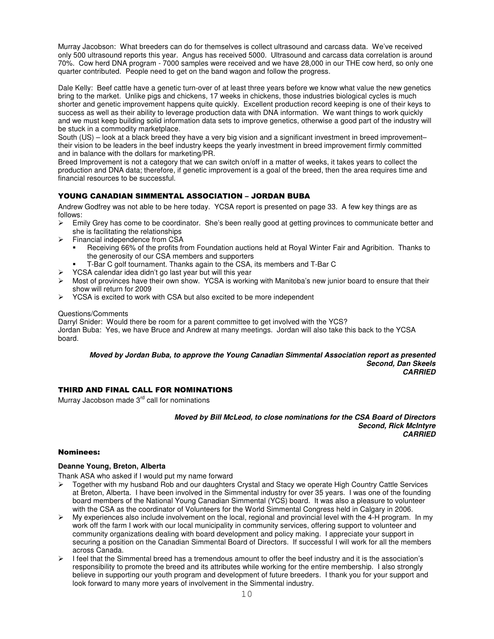Murray Jacobson: What breeders can do for themselves is collect ultrasound and carcass data. We've received only 500 ultrasound reports this year. Angus has received 5000. Ultrasound and carcass data correlation is around 70%. Cow herd DNA program - 7000 samples were received and we have 28,000 in our THE cow herd, so only one quarter contributed. People need to get on the band wagon and follow the progress.

Dale Kelly: Beef cattle have a genetic turn-over of at least three years before we know what value the new genetics bring to the market. Unlike pigs and chickens, 17 weeks in chickens, those industries biological cycles is much shorter and genetic improvement happens quite quickly. Excellent production record keeping is one of their keys to success as well as their ability to leverage production data with DNA information. We want things to work quickly and we must keep building solid information data sets to improve genetics, otherwise a good part of the industry will be stuck in a commodity marketplace.

South (US) – look at a black breed they have a very big vision and a significant investment in breed improvement– their vision to be leaders in the beef industry keeps the yearly investment in breed improvement firmly committed and in balance with the dollars for marketing/PR.

Breed Improvement is not a category that we can switch on/off in a matter of weeks, it takes years to collect the production and DNA data; therefore, if genetic improvement is a goal of the breed, then the area requires time and financial resources to be successful.

### YOUNG CANADIAN SIMMENTAL ASSOCIATION - JORDAN BUBA

Andrew Godfrey was not able to be here today. YCSA report is presented on page 33. A few key things are as follows:

- $\triangleright$  Emily Grey has come to be coordinator. She's been really good at getting provinces to communicate better and she is facilitating the relationships
- Financial independence from CSA
	- - Receiving 66% of the profits from Foundation auctions held at Royal Winter Fair and Agribition. Thanks to the generosity of our CSA members and supporters
	- -T-Bar C golf tournament. Thanks again to the CSA, its members and T-Bar C
	- YCSA calendar idea didn't go last year but will this year
- Most of provinces have their own show. YCSA is working with Manitoba's new junior board to ensure that their show will return for 2009
- $\triangleright$  YCSA is excited to work with CSA but also excited to be more independent

### Questions/Comments

Darryl Snider: Would there be room for a parent committee to get involved with the YCS? Jordan Buba: Yes, we have Bruce and Andrew at many meetings. Jordan will also take this back to the YCSA board.

#### *Moved by Jordan Buba, to approve the Young Canadian Simmental Association report as presented Second, Dan Skeels CARRIED*

### THIRD AND FINAL CALL FOR NOMINATIONS

Murray Jacobson made 3<sup>rd</sup> call for nominations

*Moved by Bill McLeod, to close nominations for the CSA Board of Directors Second, Rick McIntyre CARRIED*

### **Nominees:**

### **Deanne Young, Breton, Alberta**

Thank ASA who asked if I would put my name forward

- Together with my husband Rob and our daughters Crystal and Stacy we operate High Country Cattle Services at Breton, Alberta. I have been involved in the Simmental industry for over 35 years. I was one of the founding board members of the National Young Canadian Simmental (YCS) board. It was also a pleasure to volunteer with the CSA as the coordinator of Volunteers for the World Simmental Congress held in Calgary in 2006.
- My experiences also include involvement on the local, regional and provincial level with the 4-H program. In my work off the farm I work with our local municipality in community services, offering support to volunteer and community organizations dealing with board development and policy making. I appreciate your support in securing a position on the Canadian Simmental Board of Directors. If successful I will work for all the members across Canada.
- I feel that the Simmental breed has a tremendous amount to offer the beef industry and it is the association's responsibility to promote the breed and its attributes while working for the entire membership. I also strongly believe in supporting our youth program and development of future breeders. I thank you for your support and look forward to many more years of involvement in the Simmental industry.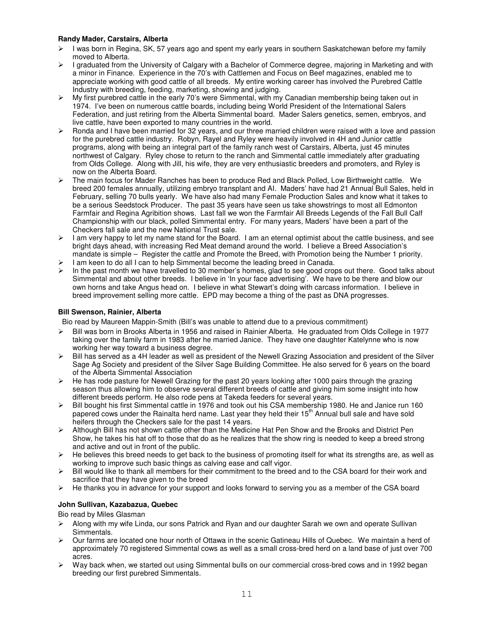### **Randy Mader, Carstairs, Alberta**

- $\triangleright$  I was born in Regina, SK, 57 years ago and spent my early years in southern Saskatchewan before my family moved to Alberta.
- I graduated from the University of Calgary with a Bachelor of Commerce degree, majoring in Marketing and with a minor in Finance. Experience in the 70's with Cattlemen and Focus on Beef magazines, enabled me to appreciate working with good cattle of all breeds. My entire working career has involved the Purebred Cattle Industry with breeding, feeding, marketing, showing and judging.
- $\triangleright$  My first purebred cattle in the early 70's were Simmental, with my Canadian membership being taken out in 1974. I've been on numerous cattle boards, including being World President of the International Salers Federation, and just retiring from the Alberta Simmental board. Mader Salers genetics, semen, embryos, and live cattle, have been exported to many countries in the world.
- $\triangleright$  Ronda and I have been married for 32 years, and our three married children were raised with a love and passion for the purebred cattle industry. Robyn, Rayel and Ryley were heavily involved in 4H and Junior cattle programs, along with being an integral part of the family ranch west of Carstairs, Alberta, just 45 minutes northwest of Calgary. Ryley chose to return to the ranch and Simmental cattle immediately after graduating from Olds College. Along with Jill, his wife, they are very enthusiastic breeders and promoters, and Ryley is now on the Alberta Board.
- The main focus for Mader Ranches has been to produce Red and Black Polled, Low Birthweight cattle. We breed 200 females annually, utilizing embryo transplant and AI. Maders' have had 21 Annual Bull Sales, held in February, selling 70 bulls yearly. We have also had many Female Production Sales and know what it takes to be a serious Seedstock Producer. The past 35 years have seen us take showstrings to most all Edmonton Farmfair and Regina Agribition shows. Last fall we won the Farmfair All Breeds Legends of the Fall Bull Calf Championship with our black, polled Simmental entry. For many years, Maders' have been a part of the Checkers fall sale and the new National Trust sale.
- I am very happy to let my name stand for the Board. I am an eternal optimist about the cattle business, and see bright days ahead, with increasing Red Meat demand around the world. I believe a Breed Association's mandate is simple – Register the cattle and Promote the Breed, with Promotion being the Number 1 priority.
- I am keen to do all I can to help Simmental become the leading breed in Canada.
- In the past month we have travelled to 30 member's homes, glad to see good crops out there. Good talks about Simmental and about other breeds. I believe in 'In your face advertising'. We have to be there and blow our own horns and take Angus head on. I believe in what Stewart's doing with carcass information. I believe in breed improvement selling more cattle. EPD may become a thing of the past as DNA progresses.

### **Bill Swenson, Rainier, Alberta**

Bio read by Maureen Mappin-Smith (Bill's was unable to attend due to a previous commitment)

- Bill was born in Brooks Alberta in 1956 and raised in Rainier Alberta. He graduated from Olds College in 1977 taking over the family farm in 1983 after he married Janice. They have one daughter Katelynne who is now working her way toward a business degree.
- Bill has served as a 4H leader as well as president of the Newell Grazing Association and president of the Silver Sage Ag Society and president of the Silver Sage Building Committee. He also served for 6 years on the board of the Alberta Simmental Association
- He has rode pasture for Newell Grazing for the past 20 years looking after 1000 pairs through the grazing season thus allowing him to observe several different breeds of cattle and giving him some insight into how different breeds perform. He also rode pens at Takeda feeders for several years.
- Bill bought his first Simmental cattle in 1976 and took out his CSA membership 1980. He and Janice run 160 papered cows under the Rainalta herd name. Last year they held their 15<sup>th</sup> Annual bull sale and have sold heifers through the Checkers sale for the past 14 years.
- $\triangleright$  Although Bill has not shown cattle other than the Medicine Hat Pen Show and the Brooks and District Pen Show, he takes his hat off to those that do as he realizes that the show ring is needed to keep a breed strong and active and out in front of the public.
- $\triangleright$  He believes this breed needs to get back to the business of promoting itself for what its strengths are, as well as working to improve such basic things as calving ease and calf vigor.
- Bill would like to thank all members for their commitment to the breed and to the CSA board for their work and sacrifice that they have given to the breed
- $\triangleright$  He thanks you in advance for your support and looks forward to serving you as a member of the CSA board

### **John Sullivan, Kazabazua, Quebec**

Bio read by Miles Glasman

- $\triangleright$  Along with my wife Linda, our sons Patrick and Ryan and our daughter Sarah we own and operate Sullivan Simmentals.
- Our farms are located one hour north of Ottawa in the scenic Gatineau Hills of Quebec. We maintain a herd of approximately 70 registered Simmental cows as well as a small cross-bred herd on a land base of just over 700 acres.
- Way back when, we started out using Simmental bulls on our commercial cross-bred cows and in 1992 began breeding our first purebred Simmentals.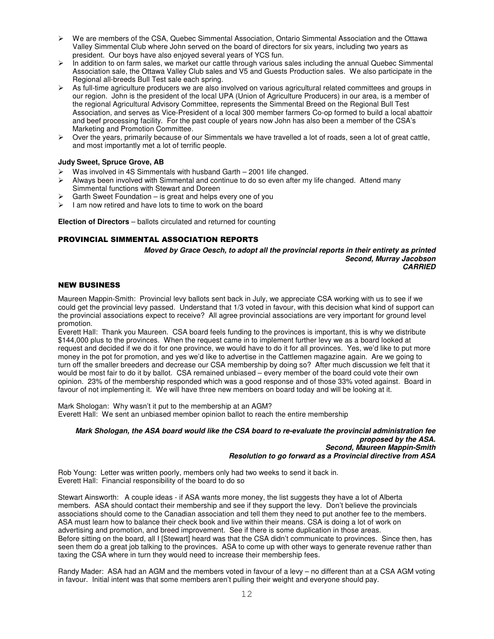- We are members of the CSA, Quebec Simmental Association, Ontario Simmental Association and the Ottawa Valley Simmental Club where John served on the board of directors for six years, including two years as president. Our boys have also enjoyed several years of YCS fun.
- $\triangleright$  In addition to on farm sales, we market our cattle through various sales including the annual Quebec Simmental Association sale, the Ottawa Valley Club sales and V5 and Guests Production sales. We also participate in the Regional all-breeds Bull Test sale each spring.
- $\triangleright$  As full-time agriculture producers we are also involved on various agricultural related committees and groups in our region. John is the president of the local UPA (Union of Agriculture Producers) in our area, is a member of the regional Agricultural Advisory Committee, represents the Simmental Breed on the Regional Bull Test Association, and serves as Vice-President of a local 300 member farmers Co-op formed to build a local abattoir and beef processing facility. For the past couple of years now John has also been a member of the CSA's Marketing and Promotion Committee.
- $\triangleright$  Over the years, primarily because of our Simmentals we have travelled a lot of roads, seen a lot of great cattle, and most importantly met a lot of terrific people.

### **Judy Sweet, Spruce Grove, AB**

- Was involved in 4S Simmentals with husband Garth 2001 life changed.
- $\triangleright$  Always been involved with Simmental and continue to do so even after my life changed. Attend many Simmental functions with Stewart and Doreen
- $\geq$  Garth Sweet Foundation is great and helps every one of you  $\geq$  Lam now retired and have lots to time to work on the board
- I am now retired and have lots to time to work on the board

**Election of Directors** – ballots circulated and returned for counting

### PROVINCIAL SIMMENTAL ASSOCIATION REPORTS

*Moved by Grace Oesch, to adopt all the provincial reports in their entirety as printed Second, Murray Jacobson CARRIED*

### **NEW BUSINESS**

Maureen Mappin-Smith: Provincial levy ballots sent back in July, we appreciate CSA working with us to see if we could get the provincial levy passed. Understand that 1/3 voted in favour, with this decision what kind of support can the provincial associations expect to receive? All agree provincial associations are very important for ground level promotion.

Everett Hall: Thank you Maureen. CSA board feels funding to the provinces is important, this is why we distribute \$144,000 plus to the provinces. When the request came in to implement further levy we as a board looked at request and decided if we do it for one province, we would have to do it for all provinces. Yes, we'd like to put more money in the pot for promotion, and yes we'd like to advertise in the Cattlemen magazine again. Are we going to turn off the smaller breeders and decrease our CSA membership by doing so? After much discussion we felt that it would be most fair to do it by ballot. CSA remained unbiased – every member of the board could vote their own opinion. 23% of the membership responded which was a good response and of those 33% voted against. Board in favour of not implementing it. We will have three new members on board today and will be looking at it.

Mark Shologan: Why wasn't it put to the membership at an AGM? Everett Hall: We sent an unbiased member opinion ballot to reach the entire membership

### *Mark Shologan, the ASA board would like the CSA board to re-evaluate the provincial administration fee proposed by the ASA. Second, Maureen Mappin-Smith Resolution to go forward as a Provincial directive from ASA*

Rob Young: Letter was written poorly, members only had two weeks to send it back in. Everett Hall: Financial responsibility of the board to do so

Stewart Ainsworth: A couple ideas - if ASA wants more money, the list suggests they have a lot of Alberta members. ASA should contact their membership and see if they support the levy. Don't believe the provincials associations should come to the Canadian association and tell them they need to put another fee to the members. ASA must learn how to balance their check book and live within their means. CSA is doing a lot of work on advertising and promotion, and breed improvement. See if there is some duplication in those areas. Before sitting on the board, all I [Stewart] heard was that the CSA didn't communicate to provinces. Since then, has seen them do a great job talking to the provinces. ASA to come up with other ways to generate revenue rather than taxing the CSA where in turn they would need to increase their membership fees.

Randy Mader: ASA had an AGM and the members voted in favour of a levy – no different than at a CSA AGM voting in favour. Initial intent was that some members aren't pulling their weight and everyone should pay.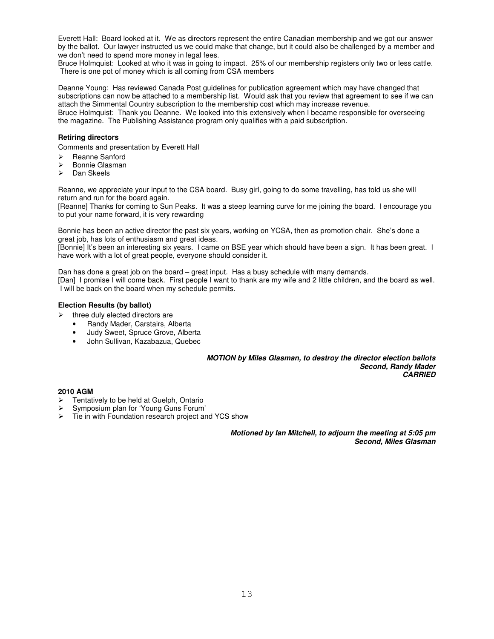Everett Hall: Board looked at it. We as directors represent the entire Canadian membership and we got our answer by the ballot. Our lawyer instructed us we could make that change, but it could also be challenged by a member and we don't need to spend more money in legal fees.

Bruce Holmquist: Looked at who it was in going to impact. 25% of our membership registers only two or less cattle. There is one pot of money which is all coming from CSA members

Deanne Young: Has reviewed Canada Post guidelines for publication agreement which may have changed that subscriptions can now be attached to a membership list. Would ask that you review that agreement to see if we can attach the Simmental Country subscription to the membership cost which may increase revenue. Bruce Holmquist: Thank you Deanne. We looked into this extensively when I became responsible for overseeing the magazine. The Publishing Assistance program only qualifies with a paid subscription.

### **Retiring directors**

Comments and presentation by Everett Hall

- $\triangleright$  Reanne Sanford<br> $\triangleright$  Ronnie Glasman
- Bonnie Glasman
- $\triangleright$  Dan Skeels

Reanne, we appreciate your input to the CSA board. Busy girl, going to do some travelling, has told us she will return and run for the board again.

[Reanne] Thanks for coming to Sun Peaks. It was a steep learning curve for me joining the board. I encourage you to put your name forward, it is very rewarding

Bonnie has been an active director the past six years, working on YCSA, then as promotion chair. She's done a great job, has lots of enthusiasm and great ideas.

[Bonnie] It's been an interesting six years. I came on BSE year which should have been a sign. It has been great. I have work with a lot of great people, everyone should consider it.

Dan has done a great job on the board – great input. Has a busy schedule with many demands.

[Dan] I promise I will come back. First people I want to thank are my wife and 2 little children, and the board as well. I will be back on the board when my schedule permits.

### **Election Results (by ballot)**

- three duly elected directors are
	- Randy Mader, Carstairs, Alberta
	- Judy Sweet, Spruce Grove, Alberta
	- John Sullivan, Kazabazua, Quebec

*MOTION by Miles Glasman, to destroy the director election ballots Second, Randy Mader CARRIED*

### **2010 AGM**

- Tentatively to be held at Guelph, Ontario
- Symposium plan for 'Young Guns Forum'
- $\triangleright$  Tie in with Foundation research project and YCS show

*Motioned by Ian Mitchell, to adjourn the meeting at 5:05 pm Second, Miles Glasman*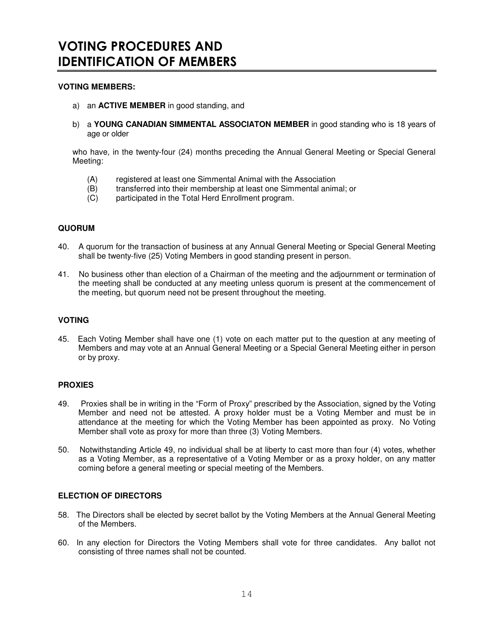## **VOTING MEMBERS:**

- a) an **ACTIVE MEMBER** in good standing, and
- b) a **YOUNG CANADIAN SIMMENTAL ASSOCIATON MEMBER** in good standing who is 18 years of age or older

who have, in the twenty-four (24) months preceding the Annual General Meeting or Special General Meeting:

- (A) registered at least one Simmental Animal with the Association<br>(B) transferred into their membership at least one Simmental anim
- transferred into their membership at least one Simmental animal; or
- (C) participated in the Total Herd Enrollment program.

## **QUORUM**

- 40. A quorum for the transaction of business at any Annual General Meeting or Special General Meeting shall be twenty-five (25) Voting Members in good standing present in person.
- 41. No business other than election of a Chairman of the meeting and the adjournment or termination of the meeting shall be conducted at any meeting unless quorum is present at the commencement of the meeting, but quorum need not be present throughout the meeting.

## **VOTING**

45. Each Voting Member shall have one (1) vote on each matter put to the question at any meeting of Members and may vote at an Annual General Meeting or a Special General Meeting either in person or by proxy.

### **PROXIES**

- 49. Proxies shall be in writing in the "Form of Proxy" prescribed by the Association, signed by the Voting Member and need not be attested. A proxy holder must be a Voting Member and must be in attendance at the meeting for which the Voting Member has been appointed as proxy. No Voting Member shall vote as proxy for more than three (3) Voting Members.
- 50. Notwithstanding Article 49, no individual shall be at liberty to cast more than four (4) votes, whether as a Voting Member, as a representative of a Voting Member or as a proxy holder, on any matter coming before a general meeting or special meeting of the Members.

### **ELECTION OF DIRECTORS**

- 58. The Directors shall be elected by secret ballot by the Voting Members at the Annual General Meeting of the Members.
- 60. In any election for Directors the Voting Members shall vote for three candidates. Any ballot not consisting of three names shall not be counted.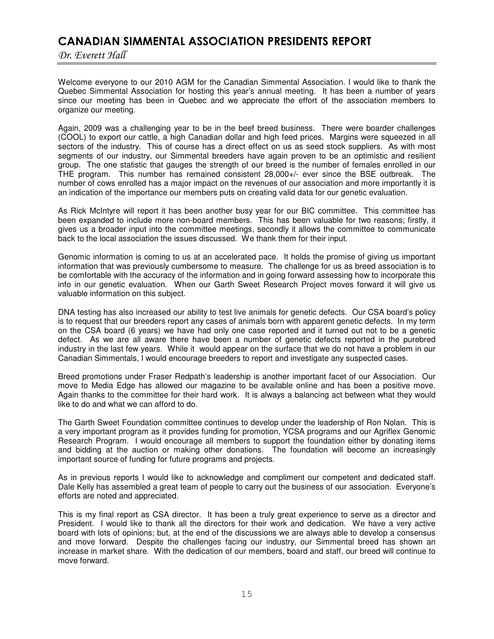# CANADIAN SIMMENTAL ASSOCIATION PRESIDENTS REPORT

Dr. Everett Hall

Welcome everyone to our 2010 AGM for the Canadian Simmental Association. I would like to thank the Quebec Simmental Association for hosting this year's annual meeting. It has been a number of years since our meeting has been in Quebec and we appreciate the effort of the association members to organize our meeting.

Again, 2009 was a challenging year to be in the beef breed business. There were boarder challenges (COOL) to export our cattle, a high Canadian dollar and high feed prices. Margins were squeezed in all sectors of the industry. This of course has a direct effect on us as seed stock suppliers. As with most segments of our industry, our Simmental breeders have again proven to be an optimistic and resilient group. The one statistic that gauges the strength of our breed is the number of females enrolled in our THE program. This number has remained consistent 28,000+/- ever since the BSE outbreak. The number of cows enrolled has a major impact on the revenues of our association and more importantly it is an indication of the importance our members puts on creating valid data for our genetic evaluation.

As Rick McIntyre will report it has been another busy year for our BIC committee. This committee has been expanded to include more non-board members. This has been valuable for two reasons; firstly, it gives us a broader input into the committee meetings, secondly it allows the committee to communicate back to the local association the issues discussed. We thank them for their input.

Genomic information is coming to us at an accelerated pace. It holds the promise of giving us important information that was previously cumbersome to measure. The challenge for us as breed association is to be comfortable with the accuracy of the information and in going forward assessing how to incorporate this info in our genetic evaluation. When our Garth Sweet Research Project moves forward it will give us valuable information on this subject.

DNA testing has also increased our ability to test live animals for genetic defects. Our CSA board's policy is to request that our breeders report any cases of animals born with apparent genetic defects. In my term on the CSA board (6 years) we have had only one case reported and it turned out not to be a genetic defect. As we are all aware there have been a number of genetic defects reported in the purebred industry in the last few years. While it would appear on the surface that we do not have a problem in our Canadian Simmentals, I would encourage breeders to report and investigate any suspected cases.

Breed promotions under Fraser Redpath's leadership is another important facet of our Association. Our move to Media Edge has allowed our magazine to be available online and has been a positive move. Again thanks to the committee for their hard work. It is always a balancing act between what they would like to do and what we can afford to do.

The Garth Sweet Foundation committee continues to develop under the leadership of Ron Nolan. This is a very important program as it provides funding for promotion, YCSA programs and our Agriflex Genomic Research Program. I would encourage all members to support the foundation either by donating items and bidding at the auction or making other donations. The foundation will become an increasingly important source of funding for future programs and projects.

As in previous reports I would like to acknowledge and compliment our competent and dedicated staff. Dale Kelly has assembled a great team of people to carry out the business of our association. Everyone's efforts are noted and appreciated.

This is my final report as CSA director. It has been a truly great experience to serve as a director and President. I would like to thank all the directors for their work and dedication. We have a very active board with lots of opinions; but, at the end of the discussions we are always able to develop a consensus and move forward. Despite the challenges facing our industry, our Simmental breed has shown an increase in market share. With the dedication of our members, board and staff, our breed will continue to move forward.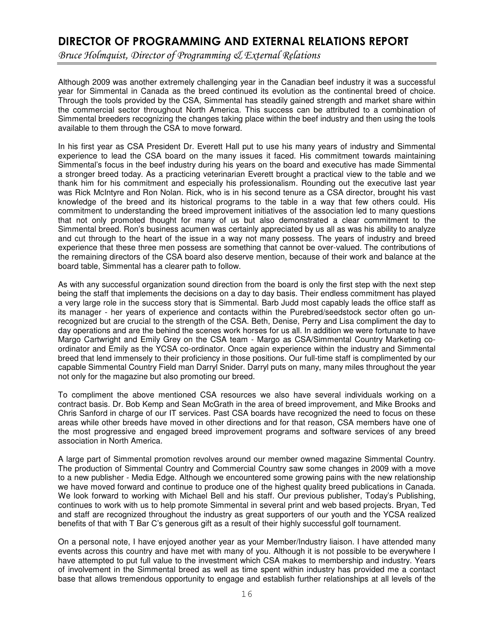# DIRECTOR OF PROGRAMMING AND EXTERNAL RELATIONS REPORT

Bruce Holmquist, Director of Programming & External Relations

Although 2009 was another extremely challenging year in the Canadian beef industry it was a successful year for Simmental in Canada as the breed continued its evolution as the continental breed of choice. Through the tools provided by the CSA, Simmental has steadily gained strength and market share within the commercial sector throughout North America. This success can be attributed to a combination of Simmental breeders recognizing the changes taking place within the beef industry and then using the tools available to them through the CSA to move forward.

In his first year as CSA President Dr. Everett Hall put to use his many years of industry and Simmental experience to lead the CSA board on the many issues it faced. His commitment towards maintaining Simmental's focus in the beef industry during his years on the board and executive has made Simmental a stronger breed today. As a practicing veterinarian Everett brought a practical view to the table and we thank him for his commitment and especially his professionalism. Rounding out the executive last year was Rick McIntyre and Ron Nolan. Rick, who is in his second tenure as a CSA director, brought his vast knowledge of the breed and its historical programs to the table in a way that few others could. His commitment to understanding the breed improvement initiatives of the association led to many questions that not only promoted thought for many of us but also demonstrated a clear commitment to the Simmental breed. Ron's business acumen was certainly appreciated by us all as was his ability to analyze and cut through to the heart of the issue in a way not many possess. The years of industry and breed experience that these three men possess are something that cannot be over-valued. The contributions of the remaining directors of the CSA board also deserve mention, because of their work and balance at the board table, Simmental has a clearer path to follow.

As with any successful organization sound direction from the board is only the first step with the next step being the staff that implements the decisions on a day to day basis. Their endless commitment has played a very large role in the success story that is Simmental. Barb Judd most capably leads the office staff as its manager - her years of experience and contacts within the Purebred/seedstock sector often go unrecognized but are crucial to the strength of the CSA. Beth, Denise, Perry and Lisa compliment the day to day operations and are the behind the scenes work horses for us all. In addition we were fortunate to have Margo Cartwright and Emily Grey on the CSA team - Margo as CSA/Simmental Country Marketing coordinator and Emily as the YCSA co-ordinator. Once again experience within the industry and Simmental breed that lend immensely to their proficiency in those positions. Our full-time staff is complimented by our capable Simmental Country Field man Darryl Snider. Darryl puts on many, many miles throughout the year not only for the magazine but also promoting our breed.

To compliment the above mentioned CSA resources we also have several individuals working on a contract basis. Dr. Bob Kemp and Sean McGrath in the area of breed improvement, and Mike Brooks and Chris Sanford in charge of our IT services. Past CSA boards have recognized the need to focus on these areas while other breeds have moved in other directions and for that reason, CSA members have one of the most progressive and engaged breed improvement programs and software services of any breed association in North America.

A large part of Simmental promotion revolves around our member owned magazine Simmental Country. The production of Simmental Country and Commercial Country saw some changes in 2009 with a move to a new publisher - Media Edge. Although we encountered some growing pains with the new relationship we have moved forward and continue to produce one of the highest quality breed publications in Canada. We look forward to working with Michael Bell and his staff. Our previous publisher, Today's Publishing, continues to work with us to help promote Simmental in several print and web based projects. Bryan, Ted and staff are recognized throughout the industry as great supporters of our youth and the YCSA realized benefits of that with T Bar C's generous gift as a result of their highly successful golf tournament.

On a personal note, I have enjoyed another year as your Member/Industry liaison. I have attended many events across this country and have met with many of you. Although it is not possible to be everywhere I have attempted to put full value to the investment which CSA makes to membership and industry. Years of involvement in the Simmental breed as well as time spent within industry has provided me a contact base that allows tremendous opportunity to engage and establish further relationships at all levels of the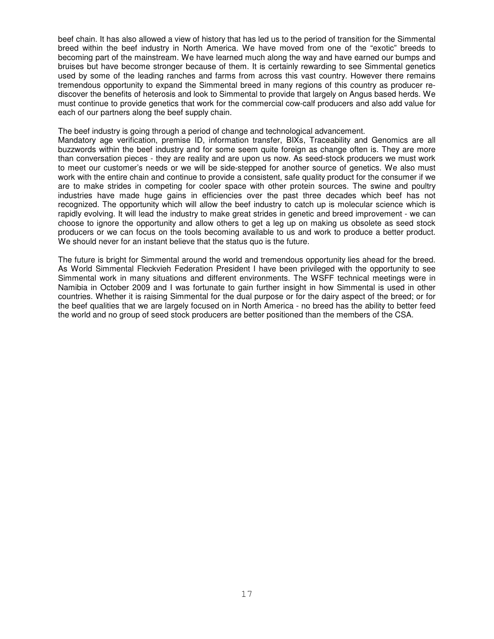beef chain. It has also allowed a view of history that has led us to the period of transition for the Simmental breed within the beef industry in North America. We have moved from one of the "exotic" breeds to becoming part of the mainstream. We have learned much along the way and have earned our bumps and bruises but have become stronger because of them. It is certainly rewarding to see Simmental genetics used by some of the leading ranches and farms from across this vast country. However there remains tremendous opportunity to expand the Simmental breed in many regions of this country as producer rediscover the benefits of heterosis and look to Simmental to provide that largely on Angus based herds. We must continue to provide genetics that work for the commercial cow-calf producers and also add value for each of our partners along the beef supply chain.

The beef industry is going through a period of change and technological advancement.

Mandatory age verification, premise ID, information transfer, BIXs, Traceability and Genomics are all buzzwords within the beef industry and for some seem quite foreign as change often is. They are more than conversation pieces - they are reality and are upon us now. As seed-stock producers we must work to meet our customer's needs or we will be side-stepped for another source of genetics. We also must work with the entire chain and continue to provide a consistent, safe quality product for the consumer if we are to make strides in competing for cooler space with other protein sources. The swine and poultry industries have made huge gains in efficiencies over the past three decades which beef has not recognized. The opportunity which will allow the beef industry to catch up is molecular science which is rapidly evolving. It will lead the industry to make great strides in genetic and breed improvement - we can choose to ignore the opportunity and allow others to get a leg up on making us obsolete as seed stock producers or we can focus on the tools becoming available to us and work to produce a better product. We should never for an instant believe that the status quo is the future.

The future is bright for Simmental around the world and tremendous opportunity lies ahead for the breed. As World Simmental Fleckvieh Federation President I have been privileged with the opportunity to see Simmental work in many situations and different environments. The WSFF technical meetings were in Namibia in October 2009 and I was fortunate to gain further insight in how Simmental is used in other countries. Whether it is raising Simmental for the dual purpose or for the dairy aspect of the breed; or for the beef qualities that we are largely focused on in North America - no breed has the ability to better feed the world and no group of seed stock producers are better positioned than the members of the CSA.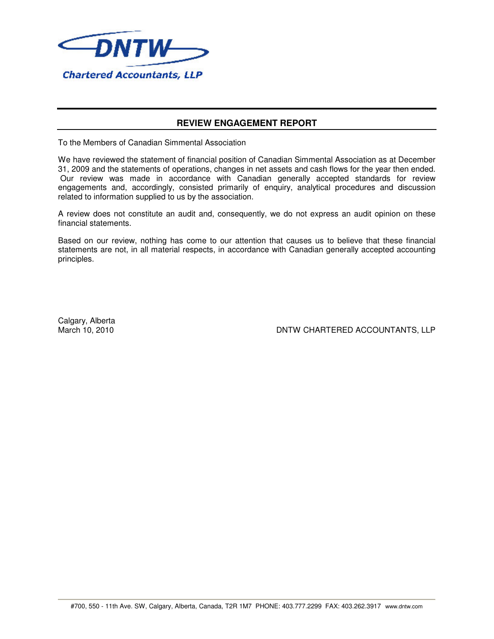

## **REVIEW ENGAGEMENT REPORT**

To the Members of Canadian Simmental Association

We have reviewed the statement of financial position of Canadian Simmental Association as at December 31, 2009 and the statements of operations, changes in net assets and cash flows for the year then ended. Our review was made in accordance with Canadian generally accepted standards for review engagements and, accordingly, consisted primarily of enquiry, analytical procedures and discussion related to information supplied to us by the association.

A review does not constitute an audit and, consequently, we do not express an audit opinion on these financial statements.

Based on our review, nothing has come to our attention that causes us to believe that these financial statements are not, in all material respects, in accordance with Canadian generally accepted accounting principles.

Calgary, Alberta<br>March 10, 2010

DNTW CHARTERED ACCOUNTANTS, LLP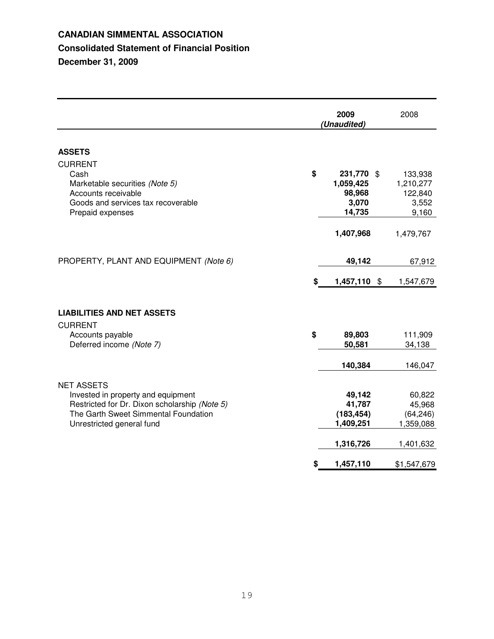# **CANADIAN SIMMENTAL ASSOCIATION Consolidated Statement of Financial Position December 31, 2009**

|                                                                                                                                                                               |    | 2009<br>(Unaudited)                                      | 2008                                                    |
|-------------------------------------------------------------------------------------------------------------------------------------------------------------------------------|----|----------------------------------------------------------|---------------------------------------------------------|
| <b>ASSETS</b>                                                                                                                                                                 |    |                                                          |                                                         |
| <b>CURRENT</b><br>Cash<br>Marketable securities (Note 5)<br>Accounts receivable<br>Goods and services tax recoverable<br>Prepaid expenses                                     | \$ | 231,770 \$<br>1,059,425<br>98,968<br>3,070<br>14,735     | 133,938<br>1,210,277<br>122,840<br>3,552<br>9,160       |
|                                                                                                                                                                               |    | 1,407,968                                                | 1,479,767                                               |
| PROPERTY, PLANT AND EQUIPMENT (Note 6)                                                                                                                                        |    | 49,142                                                   | 67,912                                                  |
|                                                                                                                                                                               | S  | 1,457,110 \$                                             | 1,547,679                                               |
| <b>LIABILITIES AND NET ASSETS</b>                                                                                                                                             |    |                                                          |                                                         |
| <b>CURRENT</b><br>Accounts payable<br>Deferred income (Note 7)                                                                                                                | \$ | 89,803<br>50,581                                         | 111,909<br>34,138                                       |
|                                                                                                                                                                               |    | 140,384                                                  | 146,047                                                 |
| <b>NET ASSETS</b><br>Invested in property and equipment<br>Restricted for Dr. Dixon scholarship (Note 5)<br>The Garth Sweet Simmental Foundation<br>Unrestricted general fund |    | 49,142<br>41,787<br>(183, 454)<br>1,409,251<br>1,316,726 | 60,822<br>45,968<br>(64, 246)<br>1,359,088<br>1,401,632 |
|                                                                                                                                                                               | S  | 1,457,110                                                | \$1,547,679                                             |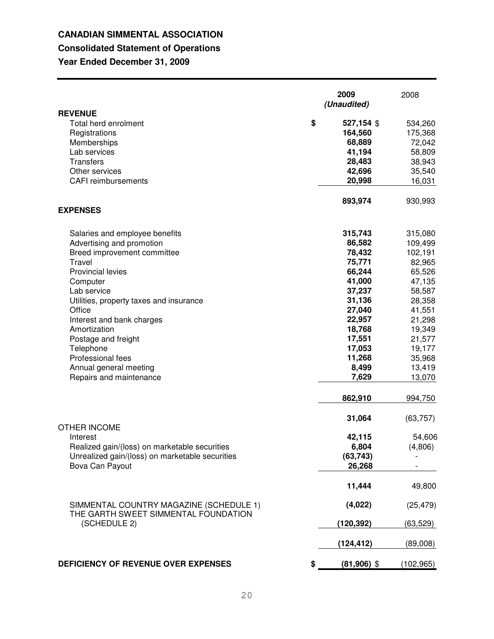# **CANADIAN SIMMENTAL ASSOCIATION**

# **Consolidated Statement of Operations**

**Year Ended December 31, 2009**

|                                                                                 | 2009<br>(Unaudited) | 2008       |
|---------------------------------------------------------------------------------|---------------------|------------|
| <b>REVENUE</b><br>\$<br>Total herd enrolment                                    | 527,154 \$          | 534,260    |
| Registrations                                                                   | 164,560             | 175,368    |
| Memberships                                                                     | 68,889              | 72,042     |
| Lab services                                                                    | 41,194              | 58,809     |
| Transfers                                                                       | 28,483              | 38,943     |
| Other services                                                                  | 42,696              | 35,540     |
| <b>CAFI</b> reimbursements                                                      | 20,998              | 16,031     |
| <b>EXPENSES</b>                                                                 | 893,974             | 930,993    |
| Salaries and employee benefits                                                  | 315,743             | 315,080    |
| Advertising and promotion                                                       | 86,582              | 109,499    |
| Breed improvement committee                                                     | 78,432              | 102,191    |
| Travel                                                                          | 75,771              | 82,965     |
| <b>Provincial levies</b>                                                        | 66,244              | 65,526     |
| Computer                                                                        | 41,000              | 47,135     |
| Lab service                                                                     | 37,237              | 58,587     |
| Utilities, property taxes and insurance                                         | 31,136              | 28,358     |
| Office                                                                          | 27,040              | 41,551     |
| Interest and bank charges                                                       | 22,957              | 21,298     |
| Amortization                                                                    | 18,768              | 19,349     |
| Postage and freight                                                             | 17,551              | 21,577     |
| Telephone                                                                       | 17,053              | 19,177     |
| Professional fees                                                               | 11,268              | 35,968     |
| Annual general meeting                                                          | 8,499               | 13,419     |
| Repairs and maintenance                                                         | 7,629               | 13,070     |
|                                                                                 | 862,910             | 994,750    |
| <b>OTHER INCOME</b>                                                             | 31,064              | (63, 757)  |
| Interest                                                                        | 42,115              | 54,606     |
| Realized gain/(loss) on marketable securities                                   | 6,804               | (4,806)    |
| Unrealized gain/(loss) on marketable securities                                 | (63, 743)           |            |
| Bova Can Payout                                                                 | 26,268              |            |
|                                                                                 | 11,444              | 49,800     |
| SIMMENTAL COUNTRY MAGAZINE (SCHEDULE 1)<br>THE GARTH SWEET SIMMENTAL FOUNDATION | (4,022)             | (25, 479)  |
| (SCHEDULE 2)                                                                    | (120, 392)          | (63,529)   |
|                                                                                 | (124,412)           | (89,008)   |
| DEFICIENCY OF REVENUE OVER EXPENSES<br>\$                                       | $(81,906)$ \$       | (102, 965) |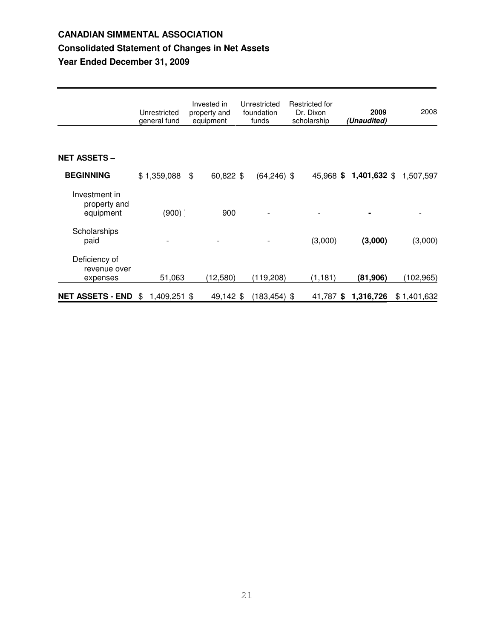# **CANADIAN SIMMENTAL ASSOCIATION Consolidated Statement of Changes in Net Assets Year Ended December 31, 2009**

|                                            | Unrestricted<br>general fund | Invested in<br>Unrestricted<br>foundation<br>property and<br>funds<br>equipment |     | Restricted for<br>Dr. Dixon<br>scholarship |          | 2009<br>(Unaudited)    | 2008        |
|--------------------------------------------|------------------------------|---------------------------------------------------------------------------------|-----|--------------------------------------------|----------|------------------------|-------------|
| <b>NET ASSETS -</b>                        |                              |                                                                                 |     |                                            |          |                        |             |
| <b>BEGINNING</b>                           | $$1,359,088$ \$              | 60,822 \$                                                                       |     | $(64, 246)$ \$                             |          | 45,968 \$ 1,401,632 \$ | 1,507,597   |
| Investment in<br>property and<br>equipment | (900)                        |                                                                                 | 900 |                                            |          |                        |             |
| Scholarships<br>paid                       |                              |                                                                                 |     |                                            | (3,000)  | (3,000)                | (3,000)     |
| Deficiency of<br>revenue over<br>expenses  | 51,063                       | (12,580)                                                                        |     | (119,208)                                  | (1, 181) | (81, 906)              | (102, 965)  |
| <b>NET ASSETS - END</b>                    | 1,409,251 \$<br>\$           | 49,142 \$                                                                       |     | $(183, 454)$ \$                            |          | 41,787 \$ 1,316,726    | \$1,401,632 |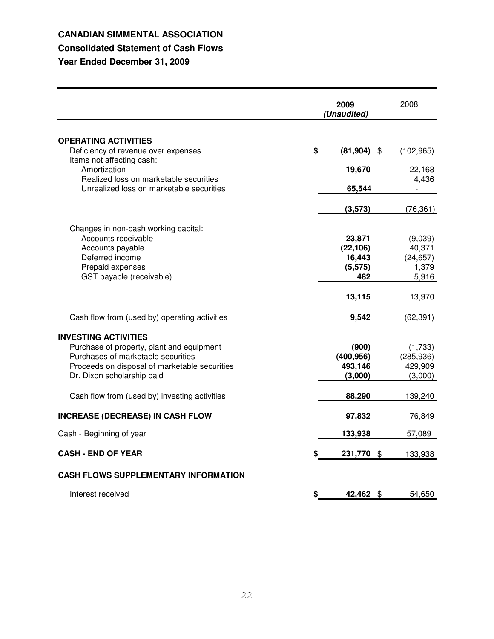## **CANADIAN SIMMENTAL ASSOCIATION**

## **Consolidated Statement of Cash Flows**

**Year Ended December 31, 2009**

|                                                                                    | 2009<br>(Unaudited) | 2008          |
|------------------------------------------------------------------------------------|---------------------|---------------|
| <b>OPERATING ACTIVITIES</b>                                                        |                     |               |
| Deficiency of revenue over expenses                                                | \$<br>$(81,904)$ \$ | (102, 965)    |
| Items not affecting cash:                                                          |                     |               |
| Amortization                                                                       | 19,670              | 22,168        |
| Realized loss on marketable securities<br>Unrealized loss on marketable securities | 65,544              | 4,436         |
|                                                                                    |                     |               |
|                                                                                    | (3,573)             | (76, 361)     |
| Changes in non-cash working capital:                                               |                     |               |
| Accounts receivable                                                                | 23,871              | (9,039)       |
| Accounts payable                                                                   | (22, 106)           | 40,371        |
| Deferred income                                                                    | 16,443              | (24, 657)     |
| Prepaid expenses                                                                   | (5, 575)            | 1,379         |
| GST payable (receivable)                                                           | 482                 | 5,916         |
|                                                                                    | 13,115              | 13,970        |
| Cash flow from (used by) operating activities                                      | 9,542               | (62, 391)     |
| <b>INVESTING ACTIVITIES</b>                                                        |                     |               |
| Purchase of property, plant and equipment                                          | (900)               | (1,733)       |
| Purchases of marketable securities                                                 | (400, 956)          | (285, 936)    |
| Proceeds on disposal of marketable securities                                      | 493,146             | 429,909       |
| Dr. Dixon scholarship paid                                                         | (3,000)             | (3,000)       |
| Cash flow from (used by) investing activities                                      | 88,290              | 139,240       |
| <b>INCREASE (DECREASE) IN CASH FLOW</b>                                            | 97,832              | 76,849        |
| Cash - Beginning of year                                                           | 133,938             | 57,089        |
| <b>CASH - END OF YEAR</b>                                                          | 231,770             | \$<br>133,938 |
| <b>CASH FLOWS SUPPLEMENTARY INFORMATION</b>                                        |                     |               |
| Interest received                                                                  | \$<br>42,462 \$     | 54,650        |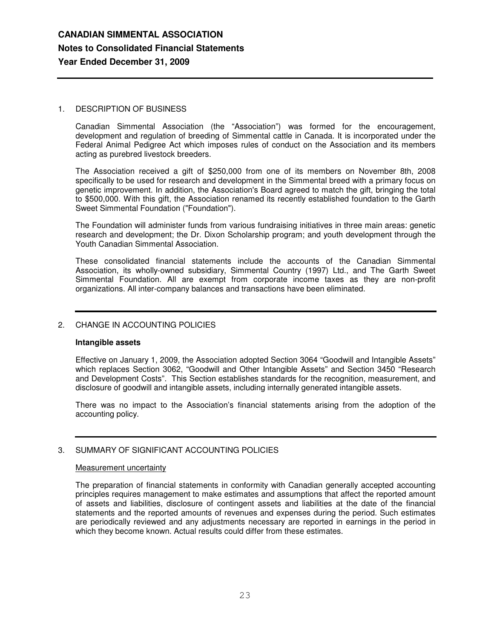## 1. DESCRIPTION OF BUSINESS

Canadian Simmental Association (the "Association") was formed for the encouragement, development and regulation of breeding of Simmental cattle in Canada. It is incorporated under the Federal Animal Pedigree Act which imposes rules of conduct on the Association and its members acting as purebred livestock breeders.

The Association received a gift of \$250,000 from one of its members on November 8th, 2008 specifically to be used for research and development in the Simmental breed with a primary focus on genetic improvement. In addition, the Association's Board agreed to match the gift, bringing the total to \$500,000. With this gift, the Association renamed its recently established foundation to the Garth Sweet Simmental Foundation ("Foundation").

The Foundation will administer funds from various fundraising initiatives in three main areas: genetic research and development; the Dr. Dixon Scholarship program; and youth development through the Youth Canadian Simmental Association.

These consolidated financial statements include the accounts of the Canadian Simmental Association, its wholly-owned subsidiary, Simmental Country (1997) Ltd., and The Garth Sweet Simmental Foundation. All are exempt from corporate income taxes as they are non-profit organizations. All inter-company balances and transactions have been eliminated.

## 2. CHANGE IN ACCOUNTING POLICIES

### **Intangible assets**

Effective on January 1, 2009, the Association adopted Section 3064 "Goodwill and Intangible Assets" which replaces Section 3062, "Goodwill and Other Intangible Assets" and Section 3450 "Research and Development Costs". This Section establishes standards for the recognition, measurement, and disclosure of goodwill and intangible assets, including internally generated intangible assets.

There was no impact to the Association's financial statements arising from the adoption of the accounting policy.

## 3. SUMMARY OF SIGNIFICANT ACCOUNTING POLICIES

### Measurement uncertainty

The preparation of financial statements in conformity with Canadian generally accepted accounting principles requires management to make estimates and assumptions that affect the reported amount of assets and liabilities, disclosure of contingent assets and liabilities at the date of the financial statements and the reported amounts of revenues and expenses during the period. Such estimates are periodically reviewed and any adjustments necessary are reported in earnings in the period in which they become known. Actual results could differ from these estimates.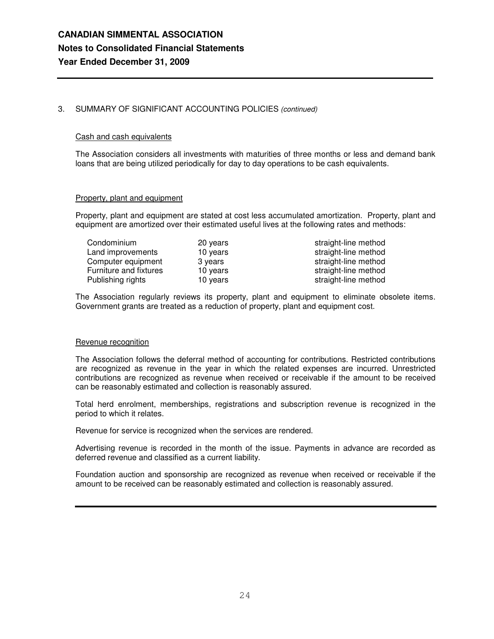## 3. SUMMARY OF SIGNIFICANT ACCOUNTING POLICIES *(continued)*

### Cash and cash equivalents

The Association considers all investments with maturities of three months or less and demand bank loans that are being utilized periodically for day to day operations to be cash equivalents.

### Property, plant and equipment

Property, plant and equipment are stated at cost less accumulated amortization. Property, plant and equipment are amortized over their estimated useful lives at the following rates and methods:

| Condominium            | 20 years | straight-line method |
|------------------------|----------|----------------------|
| Land improvements      | 10 years | straight-line method |
| Computer equipment     | 3 years  | straight-line method |
| Furniture and fixtures | 10 years | straight-line method |
| Publishing rights      | 10 years | straight-line method |

The Association regularly reviews its property, plant and equipment to eliminate obsolete items. Government grants are treated as a reduction of property, plant and equipment cost.

### Revenue recognition

The Association follows the deferral method of accounting for contributions. Restricted contributions are recognized as revenue in the year in which the related expenses are incurred. Unrestricted contributions are recognized as revenue when received or receivable if the amount to be received can be reasonably estimated and collection is reasonably assured.

Total herd enrolment, memberships, registrations and subscription revenue is recognized in the period to which it relates.

Revenue for service is recognized when the services are rendered.

Advertising revenue is recorded in the month of the issue. Payments in advance are recorded as deferred revenue and classified as a current liability.

Foundation auction and sponsorship are recognized as revenue when received or receivable if the amount to be received can be reasonably estimated and collection is reasonably assured.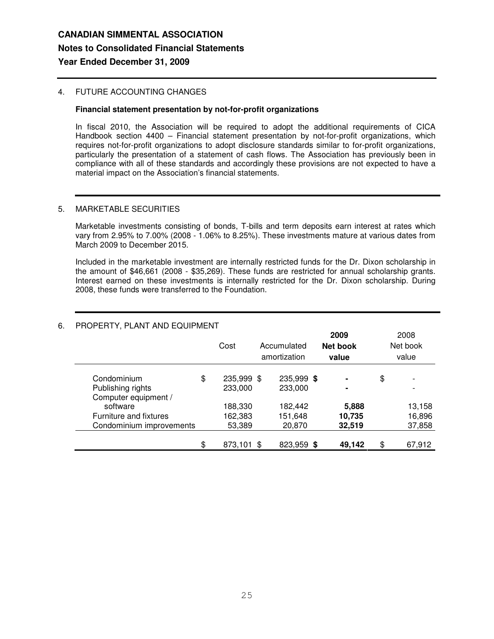## 4. FUTURE ACCOUNTING CHANGES

### **Financial statement presentation by not-for-profit organizations**

In fiscal 2010, the Association will be required to adopt the additional requirements of CICA Handbook section 4400 – Financial statement presentation by not-for-profit organizations, which requires not-for-profit organizations to adopt disclosure standards similar to for-profit organizations, particularly the presentation of a statement of cash flows. The Association has previously been in compliance with all of these standards and accordingly these provisions are not expected to have a material impact on the Association's financial statements.

### 5. MARKETABLE SECURITIES

Marketable investments consisting of bonds, T-bills and term deposits earn interest at rates which vary from 2.95% to 7.00% (2008 - 1.06% to 8.25%). These investments mature at various dates from March 2009 to December 2015.

Included in the marketable investment are internally restricted funds for the Dr. Dixon scholarship in the amount of \$46,661 (2008 - \$35,269). These funds are restricted for annual scholarship grants. Interest earned on these investments is internally restricted for the Dr. Dixon scholarship. During 2008, these funds were transferred to the Foundation.

| THUT LITTI, LEANT AND LUUI MENT |    | Cost       | Accumulated<br>amortization | 2009<br>Net book<br>value | 2008<br>Net book<br>value      |
|---------------------------------|----|------------|-----------------------------|---------------------------|--------------------------------|
| Condominium                     | \$ | 235,999 \$ | 235,999 \$                  | $\blacksquare$            | \$<br>$\overline{\phantom{a}}$ |
| Publishing rights               |    | 233,000    | 233,000                     | $\blacksquare$            |                                |
| Computer equipment /            |    |            |                             |                           |                                |
| software                        |    | 188,330    | 182,442                     | 5,888                     | 13,158                         |
| Furniture and fixtures          |    | 162,383    | 151,648                     | 10,735                    | 16,896                         |
| Condominium improvements        |    | 53,389     | 20,870                      | 32,519                    | 37,858                         |
|                                 | \$ | 873,101 \$ | 823,959 \$                  | 49,142                    | \$<br>67,912                   |

## 6. PROPERTY, PLANT AND EQUIPMENT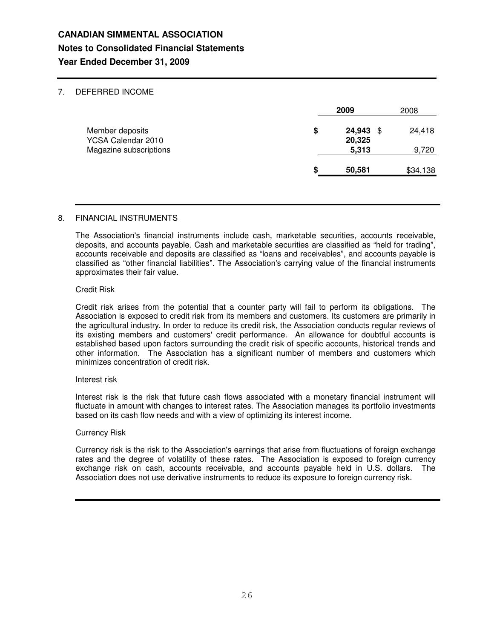## 7. DEFERRED INCOME

|                                       |    | 2009                  | 2008     |  |
|---------------------------------------|----|-----------------------|----------|--|
| Member deposits<br>YCSA Calendar 2010 | \$ | 24,943<br>S<br>20,325 | 24,418   |  |
| Magazine subscriptions                |    | 5,313                 | 9,720    |  |
|                                       | S  | 50,581                | \$34,138 |  |

## 8. FINANCIAL INSTRUMENTS

The Association's financial instruments include cash, marketable securities, accounts receivable, deposits, and accounts payable. Cash and marketable securities are classified as "held for trading", accounts receivable and deposits are classified as "loans and receivables", and accounts payable is classified as "other financial liabilities". The Association's carrying value of the financial instruments approximates their fair value.

### Credit Risk

Credit risk arises from the potential that a counter party will fail to perform its obligations. The Association is exposed to credit risk from its members and customers. Its customers are primarily in the agricultural industry. In order to reduce its credit risk, the Association conducts regular reviews of its existing members and customers' credit performance. An allowance for doubtful accounts is established based upon factors surrounding the credit risk of specific accounts, historical trends and other information. The Association has a significant number of members and customers which minimizes concentration of credit risk.

### Interest risk

Interest risk is the risk that future cash flows associated with a monetary financial instrument will fluctuate in amount with changes to interest rates. The Association manages its portfolio investments based on its cash flow needs and with a view of optimizing its interest income.

### Currency Risk

Currency risk is the risk to the Association's earnings that arise from fluctuations of foreign exchange rates and the degree of volatility of these rates. The Association is exposed to foreign currency exchange risk on cash, accounts receivable, and accounts payable held in U.S. dollars. The Association does not use derivative instruments to reduce its exposure to foreign currency risk.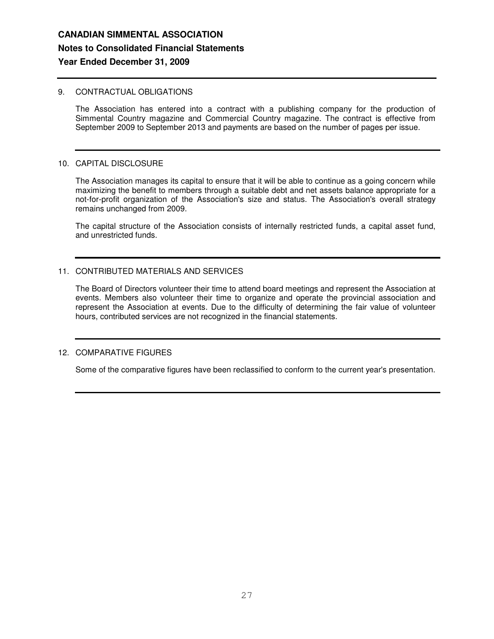## 9. CONTRACTUAL OBLIGATIONS

The Association has entered into a contract with a publishing company for the production of Simmental Country magazine and Commercial Country magazine. The contract is effective from September 2009 to September 2013 and payments are based on the number of pages per issue.

### 10. CAPITAL DISCLOSURE

The Association manages its capital to ensure that it will be able to continue as a going concern while maximizing the benefit to members through a suitable debt and net assets balance appropriate for a not-for-profit organization of the Association's size and status. The Association's overall strategy remains unchanged from 2009.

The capital structure of the Association consists of internally restricted funds, a capital asset fund, and unrestricted funds.

## 11. CONTRIBUTED MATERIALS AND SERVICES

The Board of Directors volunteer their time to attend board meetings and represent the Association at events. Members also volunteer their time to organize and operate the provincial association and represent the Association at events. Due to the difficulty of determining the fair value of volunteer hours, contributed services are not recognized in the financial statements.

## 12. COMPARATIVE FIGURES

Some of the comparative figures have been reclassified to conform to the current year's presentation.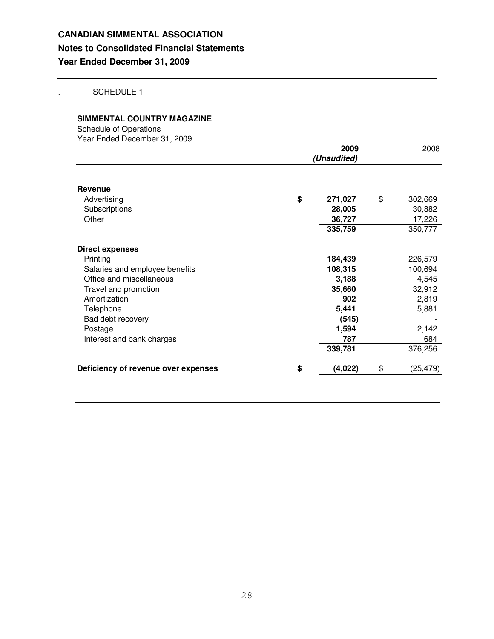. SCHEDULE 1

## **SIMMENTAL COUNTRY MAGAZINE**

Schedule of Operations Year Ended December 31, 2009

|                                     | 2009<br>(Unaudited) | 2008            |
|-------------------------------------|---------------------|-----------------|
| Revenue                             |                     |                 |
| Advertising                         | \$<br>271,027       | \$<br>302,669   |
| Subscriptions                       | 28,005              | 30,882          |
| Other                               | 36,727              | 17,226          |
|                                     | 335,759             | 350,777         |
| <b>Direct expenses</b>              |                     |                 |
| Printing                            | 184,439             | 226,579         |
| Salaries and employee benefits      | 108,315             | 100,694         |
| Office and miscellaneous            | 3,188               | 4,545           |
| Travel and promotion                | 35,660              | 32,912          |
| Amortization                        | 902                 | 2,819           |
| Telephone                           | 5,441               | 5,881           |
| Bad debt recovery                   | (545)               |                 |
| Postage                             | 1,594               | 2,142           |
| Interest and bank charges           | 787                 | 684             |
|                                     | 339,781             | 376,256         |
| Deficiency of revenue over expenses | \$<br>(4,022)       | \$<br>(25, 479) |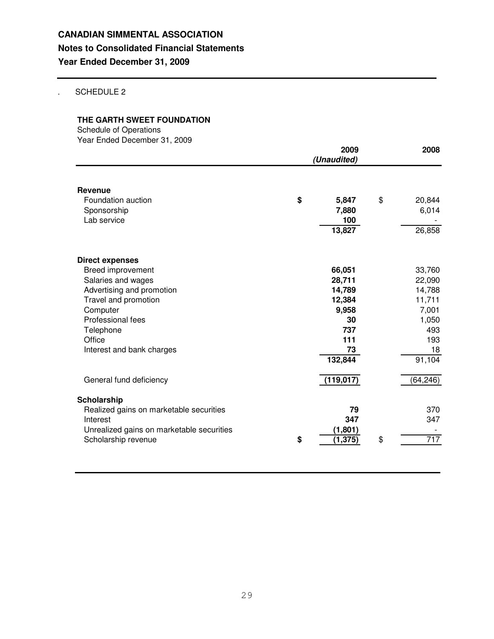## . SCHEDULE 2

## **THE GARTH SWEET FOUNDATION**

Schedule of Operations Year Ended December 31, 2009

| rear Ended December 01, 2000                                     | (Unaudited) | 2008                |    |                 |
|------------------------------------------------------------------|-------------|---------------------|----|-----------------|
| <b>Revenue</b><br>Foundation auction<br>Sponsorship              | \$          | 5,847<br>7,880      | \$ | 20,844<br>6,014 |
| Lab service                                                      |             | 100<br>13,827       |    | 26,858          |
| <b>Direct expenses</b>                                           |             |                     |    |                 |
| Breed improvement                                                |             | 66,051              |    | 33,760          |
| Salaries and wages                                               |             | 28,711              |    | 22,090          |
| Advertising and promotion                                        |             | 14,789              |    | 14,788          |
| Travel and promotion                                             |             | 12,384              |    | 11,711          |
| Computer                                                         |             | 9,958               |    | 7,001           |
| Professional fees                                                |             | 30                  |    | 1,050           |
| Telephone                                                        |             | 737                 |    | 493             |
| Office<br>Interest and bank charges                              |             | 111<br>73           |    | 193<br>18       |
|                                                                  |             | 132,844             |    | 91,104          |
| General fund deficiency                                          |             | (119, 017)          |    | (64, 246)       |
| Scholarship                                                      |             |                     |    |                 |
| Realized gains on marketable securities                          |             | 79                  |    | 370             |
| Interest                                                         |             | 347                 |    | 347             |
| Unrealized gains on marketable securities<br>Scholarship revenue | \$          | (1,801)<br>(1, 375) | \$ | 717             |
|                                                                  |             |                     |    |                 |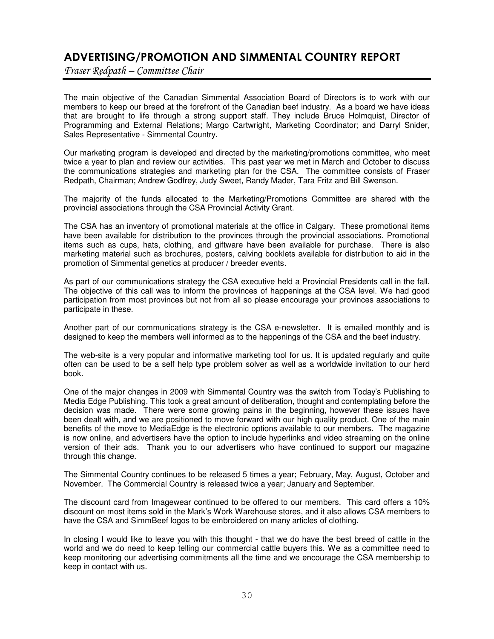# ADVERTISING/PROMOTION AND SIMMENTAL COUNTRY REPORT

Fraser Redpath – Committee Chair

The main objective of the Canadian Simmental Association Board of Directors is to work with our members to keep our breed at the forefront of the Canadian beef industry. As a board we have ideas that are brought to life through a strong support staff. They include Bruce Holmquist, Director of Programming and External Relations; Margo Cartwright, Marketing Coordinator; and Darryl Snider, Sales Representative - Simmental Country.

Our marketing program is developed and directed by the marketing/promotions committee, who meet twice a year to plan and review our activities. This past year we met in March and October to discuss the communications strategies and marketing plan for the CSA. The committee consists of Fraser Redpath, Chairman; Andrew Godfrey, Judy Sweet, Randy Mader, Tara Fritz and Bill Swenson.

The majority of the funds allocated to the Marketing/Promotions Committee are shared with the provincial associations through the CSA Provincial Activity Grant.

The CSA has an inventory of promotional materials at the office in Calgary. These promotional items have been available for distribution to the provinces through the provincial associations. Promotional items such as cups, hats, clothing, and giftware have been available for purchase. There is also marketing material such as brochures, posters, calving booklets available for distribution to aid in the promotion of Simmental genetics at producer / breeder events.

As part of our communications strategy the CSA executive held a Provincial Presidents call in the fall. The objective of this call was to inform the provinces of happenings at the CSA level. We had good participation from most provinces but not from all so please encourage your provinces associations to participate in these.

Another part of our communications strategy is the CSA e-newsletter. It is emailed monthly and is designed to keep the members well informed as to the happenings of the CSA and the beef industry.

The web-site is a very popular and informative marketing tool for us. It is updated regularly and quite often can be used to be a self help type problem solver as well as a worldwide invitation to our herd book.

One of the major changes in 2009 with Simmental Country was the switch from Today's Publishing to Media Edge Publishing. This took a great amount of deliberation, thought and contemplating before the decision was made. There were some growing pains in the beginning, however these issues have been dealt with, and we are positioned to move forward with our high quality product. One of the main benefits of the move to MediaEdge is the electronic options available to our members. The magazine is now online, and advertisers have the option to include hyperlinks and video streaming on the online version of their ads. Thank you to our advertisers who have continued to support our magazine through this change.

The Simmental Country continues to be released 5 times a year; February, May, August, October and November. The Commercial Country is released twice a year; January and September.

The discount card from Imagewear continued to be offered to our members. This card offers a 10% discount on most items sold in the Mark's Work Warehouse stores, and it also allows CSA members to have the CSA and SimmBeef logos to be embroidered on many articles of clothing.

In closing I would like to leave you with this thought - that we do have the best breed of cattle in the world and we do need to keep telling our commercial cattle buyers this. We as a committee need to keep monitoring our advertising commitments all the time and we encourage the CSA membership to keep in contact with us.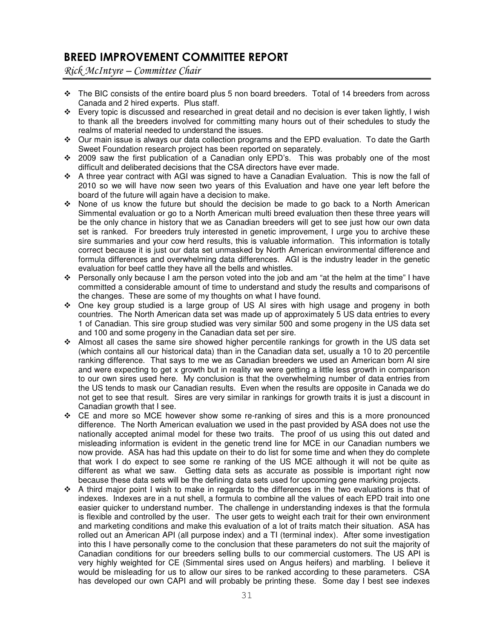# BREED IMPROVEMENT COMMITTEE REPORT

Rick McIntyre – Committee Chair

- $\div$  The BIC consists of the entire board plus 5 non board breeders. Total of 14 breeders from across Canada and 2 hired experts. Plus staff.
- $\div$  Every topic is discussed and researched in great detail and no decision is ever taken lightly, I wish to thank all the breeders involved for committing many hours out of their schedules to study the realms of material needed to understand the issues.
- Our main issue is always our data collection programs and the EPD evaluation. To date the Garth Sweet Foundation research project has been reported on separately.
- 2009 saw the first publication of a Canadian only EPD's. This was probably one of the most difficult and deliberated decisions that the CSA directors have ever made.
- A three year contract with AGI was signed to have a Canadian Evaluation. This is now the fall of 2010 so we will have now seen two years of this Evaluation and have one year left before the board of the future will again have a decision to make.
- None of us know the future but should the decision be made to go back to a North American Simmental evaluation or go to a North American multi breed evaluation then these three years will be the only chance in history that we as Canadian breeders will get to see just how our own data set is ranked. For breeders truly interested in genetic improvement, I urge you to archive these sire summaries and your cow herd results, this is valuable information. This information is totally correct because it is just our data set unmasked by North American environmental difference and formula differences and overwhelming data differences. AGI is the industry leader in the genetic evaluation for beef cattle they have all the bells and whistles.
- Personally only because I am the person voted into the job and am "at the helm at the time" I have committed a considerable amount of time to understand and study the results and comparisons of the changes. These are some of my thoughts on what I have found.
- One key group studied is a large group of US AI sires with high usage and progeny in both countries. The North American data set was made up of approximately 5 US data entries to every 1 of Canadian. This sire group studied was very similar 500 and some progeny in the US data set and 100 and some progeny in the Canadian data set per sire.
- $\div$  Almost all cases the same sire showed higher percentile rankings for growth in the US data set (which contains all our historical data) than in the Canadian data set, usually a 10 to 20 percentile ranking difference. That says to me we as Canadian breeders we used an American born AI sire and were expecting to get x growth but in reality we were getting a little less growth in comparison to our own sires used here. My conclusion is that the overwhelming number of data entries from the US tends to mask our Canadian results. Even when the results are opposite in Canada we do not get to see that result. Sires are very similar in rankings for growth traits it is just a discount in Canadian growth that I see.
- CE and more so MCE however show some re-ranking of sires and this is a more pronounced difference. The North American evaluation we used in the past provided by ASA does not use the nationally accepted animal model for these two traits. The proof of us using this out dated and misleading information is evident in the genetic trend line for MCE in our Canadian numbers we now provide. ASA has had this update on their to do list for some time and when they do complete that work I do expect to see some re ranking of the US MCE although it will not be quite as different as what we saw. Getting data sets as accurate as possible is important right now because these data sets will be the defining data sets used for upcoming gene marking projects.
- $\div$  A third major point I wish to make in regards to the differences in the two evaluations is that of indexes. Indexes are in a nut shell, a formula to combine all the values of each EPD trait into one easier quicker to understand number. The challenge in understanding indexes is that the formula is flexible and controlled by the user. The user gets to weight each trait for their own environment and marketing conditions and make this evaluation of a lot of traits match their situation. ASA has rolled out an American API (all purpose index) and a TI (terminal index). After some investigation into this I have personally come to the conclusion that these parameters do not suit the majority of Canadian conditions for our breeders selling bulls to our commercial customers. The US API is very highly weighted for CE (Simmental sires used on Angus heifers) and marbling. I believe it would be misleading for us to allow our sires to be ranked according to these parameters. CSA has developed our own CAPI and will probably be printing these. Some day I best see indexes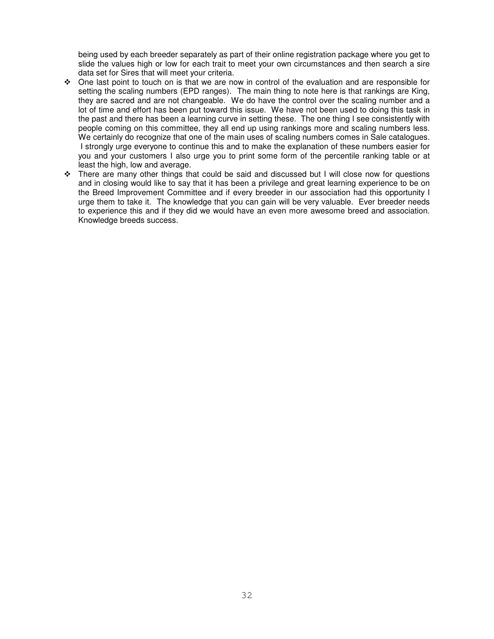being used by each breeder separately as part of their online registration package where you get to slide the values high or low for each trait to meet your own circumstances and then search a sire data set for Sires that will meet your criteria.

- One last point to touch on is that we are now in control of the evaluation and are responsible for setting the scaling numbers (EPD ranges). The main thing to note here is that rankings are King, they are sacred and are not changeable. We do have the control over the scaling number and a lot of time and effort has been put toward this issue. We have not been used to doing this task in the past and there has been a learning curve in setting these. The one thing I see consistently with people coming on this committee, they all end up using rankings more and scaling numbers less. We certainly do recognize that one of the main uses of scaling numbers comes in Sale catalogues. I strongly urge everyone to continue this and to make the explanation of these numbers easier for you and your customers I also urge you to print some form of the percentile ranking table or at least the high, low and average.
- $\div$  There are many other things that could be said and discussed but I will close now for questions and in closing would like to say that it has been a privilege and great learning experience to be on the Breed Improvement Committee and if every breeder in our association had this opportunity I urge them to take it. The knowledge that you can gain will be very valuable. Ever breeder needs to experience this and if they did we would have an even more awesome breed and association. Knowledge breeds success.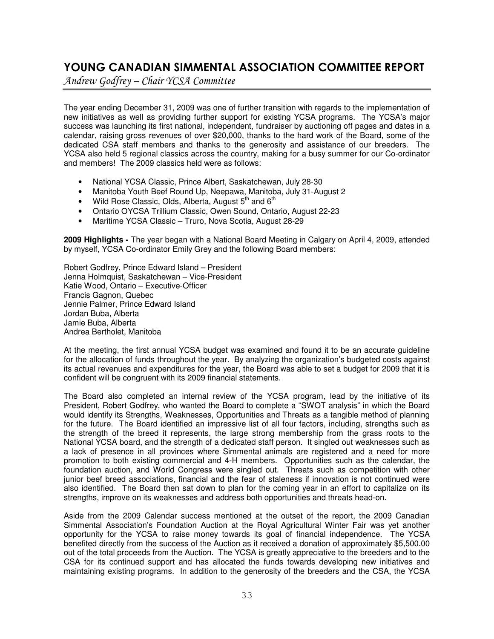# YOUNG CANADIAN SIMMENTAL ASSOCIATION COMMITTEE REPORT

Andrew Godfrey – Chair YCSA Committee

The year ending December 31, 2009 was one of further transition with regards to the implementation of new initiatives as well as providing further support for existing YCSA programs. The YCSA's major success was launching its first national, independent, fundraiser by auctioning off pages and dates in a calendar, raising gross revenues of over \$20,000, thanks to the hard work of the Board, some of the dedicated CSA staff members and thanks to the generosity and assistance of our breeders. The YCSA also held 5 regional classics across the country, making for a busy summer for our Co-ordinator and members! The 2009 classics held were as follows:

- National YCSA Classic, Prince Albert, Saskatchewan, July 28-30
- Manitoba Youth Beef Round Up, Neepawa, Manitoba, July 31-August 2
- Wild Rose Classic, Olds, Alberta, August  $5<sup>th</sup>$  and  $6<sup>th</sup>$
- Ontario OYCSA Trillium Classic, Owen Sound, Ontario, August 22-23
- Maritime YCSA Classic Truro, Nova Scotia, August 28-29

**2009 Highlights -** The year began with a National Board Meeting in Calgary on April 4, 2009, attended by myself, YCSA Co-ordinator Emily Grey and the following Board members:

Robert Godfrey, Prince Edward Island – President Jenna Holmquist, Saskatchewan – Vice-President Katie Wood, Ontario – Executive-Officer Francis Gagnon, Quebec Jennie Palmer, Prince Edward Island Jordan Buba, Alberta Jamie Buba, Alberta Andrea Bertholet, Manitoba

At the meeting, the first annual YCSA budget was examined and found it to be an accurate guideline for the allocation of funds throughout the year. By analyzing the organization's budgeted costs against its actual revenues and expenditures for the year, the Board was able to set a budget for 2009 that it is confident will be congruent with its 2009 financial statements.

The Board also completed an internal review of the YCSA program, lead by the initiative of its President, Robert Godfrey, who wanted the Board to complete a "SWOT analysis" in which the Board would identify its Strengths, Weaknesses, Opportunities and Threats as a tangible method of planning for the future. The Board identified an impressive list of all four factors, including, strengths such as the strength of the breed it represents, the large strong membership from the grass roots to the National YCSA board, and the strength of a dedicated staff person. It singled out weaknesses such as a lack of presence in all provinces where Simmental animals are registered and a need for more promotion to both existing commercial and 4-H members. Opportunities such as the calendar, the foundation auction, and World Congress were singled out. Threats such as competition with other junior beef breed associations, financial and the fear of staleness if innovation is not continued were also identified. The Board then sat down to plan for the coming year in an effort to capitalize on its strengths, improve on its weaknesses and address both opportunities and threats head-on.

Aside from the 2009 Calendar success mentioned at the outset of the report, the 2009 Canadian Simmental Association's Foundation Auction at the Royal Agricultural Winter Fair was yet another opportunity for the YCSA to raise money towards its goal of financial independence. The YCSA benefited directly from the success of the Auction as it received a donation of approximately \$5,500.00 out of the total proceeds from the Auction. The YCSA is greatly appreciative to the breeders and to the CSA for its continued support and has allocated the funds towards developing new initiatives and maintaining existing programs. In addition to the generosity of the breeders and the CSA, the YCSA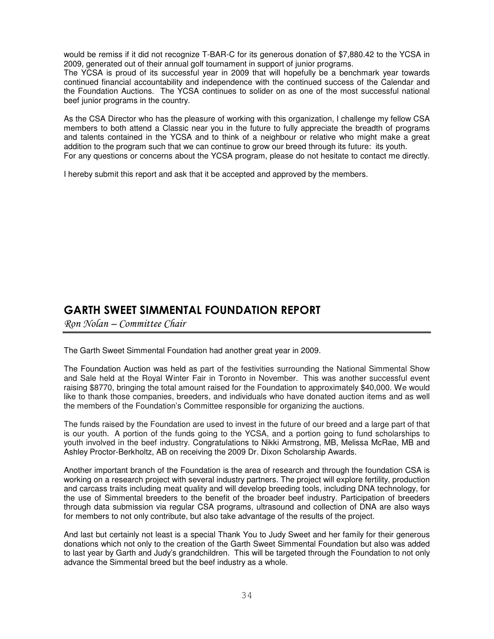would be remiss if it did not recognize T-BAR-C for its generous donation of \$7,880.42 to the YCSA in 2009, generated out of their annual golf tournament in support of junior programs.

The YCSA is proud of its successful year in 2009 that will hopefully be a benchmark year towards continued financial accountability and independence with the continued success of the Calendar and the Foundation Auctions. The YCSA continues to solider on as one of the most successful national beef junior programs in the country.

As the CSA Director who has the pleasure of working with this organization, I challenge my fellow CSA members to both attend a Classic near you in the future to fully appreciate the breadth of programs and talents contained in the YCSA and to think of a neighbour or relative who might make a great addition to the program such that we can continue to grow our breed through its future: its youth. For any questions or concerns about the YCSA program, please do not hesitate to contact me directly.

I hereby submit this report and ask that it be accepted and approved by the members.

# GARTH SWEET SIMMENTAL FOUNDATION REPORT

Ron Nolan – Committee Chair

The Garth Sweet Simmental Foundation had another great year in 2009.

The Foundation Auction was held as part of the festivities surrounding the National Simmental Show and Sale held at the Royal Winter Fair in Toronto in November. This was another successful event raising \$8770, bringing the total amount raised for the Foundation to approximately \$40,000. We would like to thank those companies, breeders, and individuals who have donated auction items and as well the members of the Foundation's Committee responsible for organizing the auctions.

The funds raised by the Foundation are used to invest in the future of our breed and a large part of that is our youth. A portion of the funds going to the YCSA, and a portion going to fund scholarships to youth involved in the beef industry. Congratulations to Nikki Armstrong, MB, Melissa McRae, MB and Ashley Proctor-Berkholtz, AB on receiving the 2009 Dr. Dixon Scholarship Awards.

Another important branch of the Foundation is the area of research and through the foundation CSA is working on a research project with several industry partners. The project will explore fertility, production and carcass traits including meat quality and will develop breeding tools, including DNA technology, for the use of Simmental breeders to the benefit of the broader beef industry. Participation of breeders through data submission via regular CSA programs, ultrasound and collection of DNA are also ways for members to not only contribute, but also take advantage of the results of the project.

And last but certainly not least is a special Thank You to Judy Sweet and her family for their generous donations which not only to the creation of the Garth Sweet Simmental Foundation but also was added to last year by Garth and Judy's grandchildren. This will be targeted through the Foundation to not only advance the Simmental breed but the beef industry as a whole.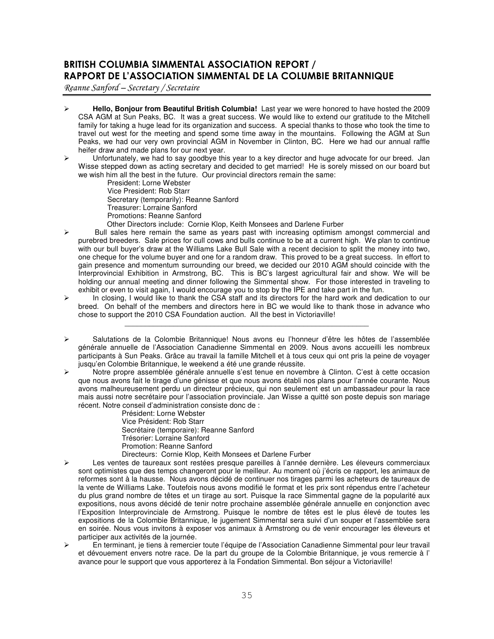## BRITISH COLUMBIA SIMMENTAL ASSOCIATION REPORT / RAPPORT DE L'ASSOCIATION SIMMENTAL DE LA COLUMBIE BRITANNIQUE

 $\mathcal R$ eanne Sanford – Secretary / Secretaire

- **Hello, Bonjour from Beautiful British Columbia!** Last year we were honored to have hosted the 2009 CSA AGM at Sun Peaks, BC. It was a great success. We would like to extend our gratitude to the Mitchell family for taking a huge lead for its organization and success. A special thanks to those who took the time to travel out west for the meeting and spend some time away in the mountains. Following the AGM at Sun Peaks, we had our very own provincial AGM in November in Clinton, BC. Here we had our annual raffle heifer draw and made plans for our next year.
- $\triangleright$  Unfortunately, we had to say goodbye this year to a key director and huge advocate for our breed. Jan Wisse stepped down as acting secretary and decided to get married! He is sorely missed on our board but we wish him all the best in the future. Our provincial directors remain the same:
	- President: Lorne Webster Vice President: Rob Starr Secretary (temporarily): Reanne Sanford Treasurer: Lorraine Sanford Promotions: Reanne Sanford Other Directors include: Cornie Klop, Keith Monsees and Darlene Furber
- Bull sales here remain the same as years past with increasing optimism amongst commercial and purebred breeders. Sale prices for cull cows and bulls continue to be at a current high. We plan to continue with our bull buyer's draw at the Williams Lake Bull Sale with a recent decision to split the money into two, one cheque for the volume buyer and one for a random draw. This proved to be a great success. In effort to gain presence and momentum surrounding our breed, we decided our 2010 AGM should coincide with the Interprovincial Exhibition in Armstrong, BC. This is BC's largest agricultural fair and show. We will be holding our annual meeting and dinner following the Simmental show. For those interested in traveling to exhibit or even to visit again, I would encourage you to stop by the IPE and take part in the fun.
- $\triangleright$  In closing, I would like to thank the CSA staff and its directors for the hard work and dedication to our breed. On behalf of the members and directors here in BC we would like to thank those in advance who chose to support the 2010 CSA Foundation auction. All the best in Victoriaville!

\_\_\_\_\_\_\_\_\_\_\_\_\_\_\_\_\_\_\_\_\_\_\_\_\_\_\_\_\_\_\_\_\_\_\_\_\_\_\_\_\_\_\_\_\_\_\_\_\_\_\_\_\_\_\_\_\_\_\_\_

- Salutations de la Colombie Britannique! Nous avons eu l'honneur d'être les hôtes de l'assemblée générale annuelle de l'Association Canadienne Simmental en 2009. Nous avons accueilli les nombreux participants à Sun Peaks. Grâce au travail la famille Mitchell et à tous ceux qui ont pris la peine de voyager jusqu'en Colombie Britannique, le weekend a été une grande réussite.
- Notre propre assemblée générale annuelle s'est tenue en novembre à Clinton. C'est à cette occasion que nous avons fait le tirage d'une génisse et que nous avons établi nos plans pour l'année courante. Nous avons malheureusement perdu un directeur précieux, qui non seulement est un ambassadeur pour la race mais aussi notre secrétaire pour l'association provinciale. Jan Wisse a quitté son poste depuis son mariage récent. Notre conseil d'administration consiste donc de :

Président: Lorne Webster Vice Président: Rob Starr Secrétaire (temporaire): Reanne Sanford Trésorier: Lorraine Sanford Promotion: Reanne Sanford Directeurs: Cornie Klop, Keith Monsees et Darlene Furber

- Les ventes de taureaux sont restées presque pareilles à l'année dernière. Les éleveurs commerciaux sont optimistes que des temps changeront pour le meilleur. Au moment où j'écris ce rapport, les animaux de reformes sont à la hausse. Nous avons décidé de continuer nos tirages parmi les acheteurs de taureaux de la vente de Williams Lake. Toutefois nous avons modifié le format et les prix sont répendus entre l'acheteur du plus grand nombre de têtes et un tirage au sort. Puisque la race Simmental gagne de la popularité aux expositions, nous avons décidé de tenir notre prochaine assemblée générale annuelle en conjonction avec l'Exposition Interprovinciale de Armstrong. Puisque le nombre de têtes est le plus élevé de toutes les expositions de la Colombie Britannique, le jugement Simmental sera suivi d'un souper et l'assemblée sera en soirée. Nous vous invitons à exposer vos animaux à Armstrong ou de venir encourager les éleveurs et participer aux activités de la journée.
- En terminant, je tiens à remercier toute l'équipe de l'Association Canadienne Simmental pour leur travail et dévouement envers notre race. De la part du groupe de la Colombie Britannique, je vous remercie à l' avance pour le support que vous apporterez à la Fondation Simmental. Bon séjour a Victoriaville!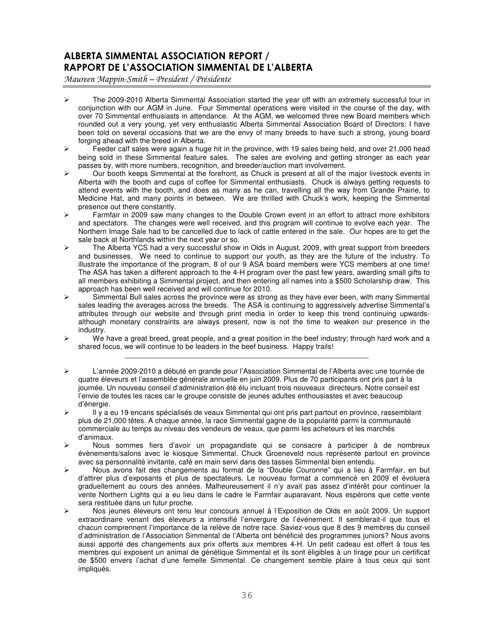## ALBERTA SIMMENTAL ASSOCIATION REPORT / RAPPORT DE L'ASSOCIATION SIMMENTAL DE L'ALBERTA

Maureen Mappin-Smith - President / Présidente

- $\triangleright$  The 2009-2010 Alberta Simmental Association started the year off with an extremely successful tour in conjunction with our AGM in June. Four Simmental operations were visited in the course of the day, with over 70 Simmental enthusiasts in attendance. At the AGM, we welcomed three new Board members which rounded out a very young, yet very enthusiastic Alberta Simmental Association Board of Directors: I have been told on several occasions that we are the envy of many breeds to have such a strong, young board forging ahead with the breed in Alberta.
- $\triangleright$  Feeder calf sales were again a huge hit in the province, with 19 sales being held, and over 21,000 head being sold in these Simmental feature sales. The sales are evolving and getting stronger as each year passes by, with more numbers, recognition, and breeder/auction mart involvement.
- $\triangleright$  Our booth keeps Simmental at the forefront, as Chuck is present at all of the major livestock events in Alberta with the booth and cups of coffee for Simmental enthusiasts. Chuck is always getting requests to attend events with the booth, and does as many as he can, travelling all the way from Grande Prairie, to Medicine Hat, and many points in between. We are thrilled with Chuck's work, keeping the Simmental presence out there constantly.
- $\triangleright$  Farmfair in 2009 saw many changes to the Double Crown event in an effort to attract more exhibitors and spectators. The changes were well received, and this program will continue to evolve each year. The Northern Image Sale had to be cancelled due to lack of cattle entered in the sale. Our hopes are to get the sale back at Northlands within the next year or so.
- $\triangleright$  The Alberta YCS had a very successful show in Olds in August, 2009, with great support from breeders and businesses. We need to continue to support our youth, as they are the future of the industry. To illustrate the importance of the program, 8 of our 9 ASA board members were YCS members at one time! The ASA has taken a different approach to the 4-H program over the past few years, awarding small gifts to all members exhibiting a Simmental project, and then entering all names into a \$500 Scholarship draw. This approach has been well received and will continue for 2010.
- $\triangleright$   $\cdot$  Simmental Bull sales across the province were as strong as they have ever been, with many Simmental sales leading the averages across the breeds. The ASA is continuing to aggressively advertise Simmental's attributes through our website and through print media in order to keep this trend continuing upwardsalthough monetary constraints are always present, now is not the time to weaken our presence in the industry.
- $\triangleright$  We have a great breed, great people, and a great position in the beef industry; through hard work and a shared focus, we will continue to be leaders in the beef business. Happy trails! \_\_\_\_\_\_\_\_\_\_\_\_\_\_\_\_\_\_\_\_\_\_\_\_\_\_\_\_\_\_\_\_\_\_\_\_\_\_\_\_\_\_\_\_\_\_\_\_\_\_\_\_\_\_\_\_\_\_\_\_
- L'année 2009-2010 a débuté en grande pour l'Association Simmental de l'Alberta avec une tournée de quatre éleveurs et l'assemblée générale annuelle en juin 2009. Plus de 70 participants ont pris part à la journée. Un nouveau conseil d'administration été élu incluant trois nouveaux directeurs. Notre conseil est l'envie de toutes les races car le groupe consiste de jeunes adultes enthousiastes et avec beaucoup d'énergie.
- $\triangleright$  Il y a eu 19 encans spécialisés de veaux Simmental qui ont pris part partout en province, rassemblant plus de 21,000 têtes. A chaque année, la race Simmental gagne de la popularité parmi la communauté commerciale au temps au niveau des vendeurs de veaux, que parmi les acheteurs et les marchés d'animaux.
- Nous sommes fiers d'avoir un propagandiste qui se consacre à participer à de nombreux évènements/salons avec le kiosque Simmental. Chuck Groeneveld nous représente partout en province avec sa personnalité invitante, café en main servi dans des tasses Simmental bien entendu.
- Nous avons fait des changements au format de la "Double Couronne" qui a lieu à Farmfair, en but d'attirer plus d'exposants et plus de spectateurs. Le nouveau format a commencé en 2009 et évoluera graduellement au cours des années. Malheureusement il n'y avait pas assez d'intérêt pour continuer la vente Northern Lights qui a eu lieu dans le cadre le Farmfair auparavant. Nous espérons que cette vente sera restituée dans un futur proche.
- Nos jeunes éleveurs ont tenu leur concours annuel à l'Exposition de Olds en août 2009. Un support extraordinaire venant des éleveurs a intensifié l'envergure de l'événement. Il semblerait-il que tous et chacun comprennent l'importance de la relève de notre race. Saviez-vous que 8 des 9 membres du conseil d'administration de l'Association Simmental de l'Alberta ont bénéficié des programmes juniors? Nous avons aussi apporté des changements aux prix offerts aux membres 4-H. Un petit cadeau est offert à tous les membres qui exposent un animal de génétique Simmental et ils sont éligibles à un tirage pour un certificat de \$500 envers l'achat d'une femelle Simmental. Ce changement semble plaire à tous ceux qui sont impliqués.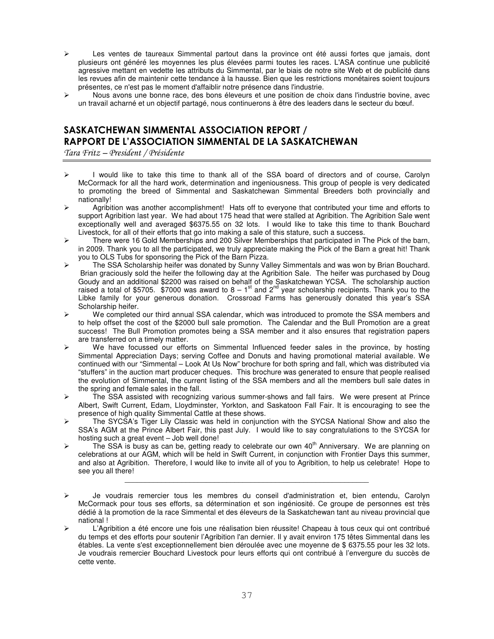- Les ventes de taureaux Simmental partout dans la province ont été aussi fortes que jamais, dont plusieurs ont généré les moyennes les plus élevées parmi toutes les races. L'ASA continue une publicité agressive mettant en vedette les attributs du Simmental, par le biais de notre site Web et de publicité dans les revues afin de maintenir cette tendance à la hausse. Bien que les restrictions monétaires soient toujours présentes, ce n'est pas le moment d'affaiblir notre présence dans l'industrie.
- $\triangleright$  Nous avons une bonne race, des bons éleveurs et une position de choix dans l'industrie bovine, avec un travail acharné et un objectif partagé, nous continuerons à être des leaders dans le secteur du bœuf.

## SASKATCHEWAN SIMMENTAL ASSOCIATION REPORT / RAPPORT DE L'ASSOCIATION SIMMENTAL DE LA SASKATCHEWAN

Tara Fritz – President / Présidente

- $\triangleright$  I would like to take this time to thank all of the SSA board of directors and of course, Carolyn McCormack for all the hard work, determination and ingeniousness. This group of people is very dedicated to promoting the breed of Simmental and Saskatchewan Simmental Breeders both provincially and nationally!
- $\triangleright$  Agribition was another accomplishment! Hats off to everyone that contributed your time and efforts to support Agribition last year. We had about 175 head that were stalled at Agribition. The Agribition Sale went exceptionally well and averaged \$6375.55 on 32 lots. I would like to take this time to thank Bouchard Livestock, for all of their efforts that go into making a sale of this stature, such a success.
- There were 16 Gold Memberships and 200 Silver Memberships that participated in The Pick of the barn, in 2009. Thank you to all the participated, we truly appreciate making the Pick of the Barn a great hit! Thank you to OLS Tubs for sponsoring the Pick of the Barn Pizza.
- ▶ The SSA Scholarship heifer was donated by Sunny Valley Simmentals and was won by Brian Bouchard. Brian graciously sold the heifer the following day at the Agribition Sale. The heifer was purchased by Doug Goudy and an additional \$2200 was raised on behalf of the Saskatchewan YCSA. The scholarship auction raised a total of \$5705. \$7000 was award to 8 – 1<sup>st</sup> and 2<sup>nd</sup> year scholarship recipients. Thank you to the Libke family for your generous donation. Crossroad Farms has generously donated this year's SSA Scholarship heifer.
- $\triangleright$  We completed our third annual SSA calendar, which was introduced to promote the SSA members and to help offset the cost of the \$2000 bull sale promotion. The Calendar and the Bull Promotion are a great success! The Bull Promotion promotes being a SSA member and it also ensures that registration papers are transferred on a timely matter.
- $\triangleright$  We have focussed our efforts on Simmental Influenced feeder sales in the province, by hosting Simmental Appreciation Days; serving Coffee and Donuts and having promotional material available. We continued with our "Simmental – Look At Us Now" brochure for both spring and fall, which was distributed via "stuffers" in the auction mart producer cheques. This brochure was generated to ensure that people realised the evolution of Simmental, the current listing of the SSA members and all the members bull sale dates in the spring and female sales in the fall.
- $\triangleright$  The SSA assisted with recognizing various summer-shows and fall fairs. We were present at Prince Albert, Swift Current, Edam, Lloydminster, Yorkton, and Saskatoon Fall Fair. It is encouraging to see the presence of high quality Simmental Cattle at these shows.
- $\triangleright$  The SYCSA's Tiger Lily Classic was held in conjunction with the SYCSA National Show and also the SSA's AGM at the Prince Albert Fair, this past July. I would like to say congratulations to the SYCSA for hosting such a great event – Job well done!
- $\triangleright$  The SSA is busy as can be, getting ready to celebrate our own 40<sup>th</sup> Anniversary. We are planning on celebrations at our AGM, which will be held in Swift Current, in conjunction with Frontier Days this summer, and also at Agribition. Therefore, I would like to invite all of you to Agribition, to help us celebrate! Hope to see you all there!

\_\_\_\_\_\_\_\_\_\_\_\_\_\_\_\_\_\_\_\_\_\_\_\_\_\_\_\_\_\_\_\_\_\_\_\_\_\_\_\_\_\_\_\_\_\_\_\_\_\_\_\_\_\_\_\_\_\_\_\_

 L'Agribition a été encore une fois une réalisation bien réussite! Chapeau à tous ceux qui ont contribué du temps et des efforts pour soutenir l'Agribition l'an dernier. Il y avait environ 175 têtes Simmental dans les étables. La vente s'est exceptionnellement bien déroulée avec une moyenne de \$ 6375.55 pour les 32 lots. Je voudrais remercier Bouchard Livestock pour leurs efforts qui ont contribué à l'envergure du succès de cette vente.

Je voudrais remercier tous les membres du conseil d'administration et, bien entendu, Carolyn McCormack pour tous ses efforts, sa détermination et son ingéniosité. Ce groupe de personnes est très dédié à la promotion de la race Simmental et des éleveurs de la Saskatchewan tant au niveau provincial que national !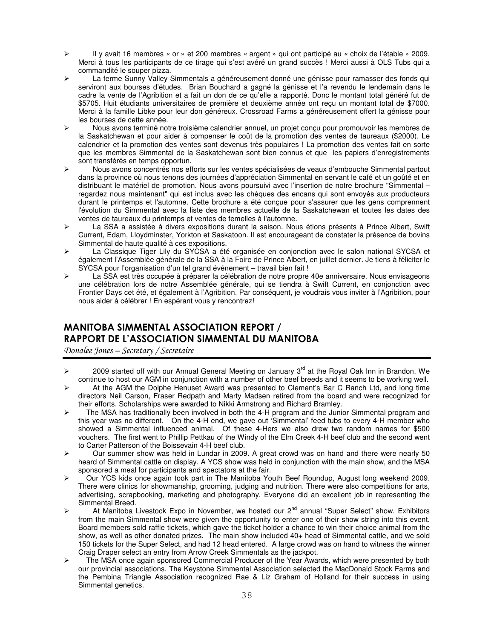- Il y avait 16 membres « or » et 200 membres « argent » qui ont participé au « choix de l'étable » 2009. Merci à tous les participants de ce tirage qui s'est avéré un grand succès ! Merci aussi à OLS Tubs qui a commandité le souper pizza.
- La ferme Sunny Valley Simmentals a généreusement donné une génisse pour ramasser des fonds qui serviront aux bourses d'études. Brian Bouchard a gagné la génisse et l'a revendu le lendemain dans le cadre la vente de l'Agribition et a fait un don de ce qu'elle a rapporté. Donc le montant total généré fut de \$5705. Huit étudiants universitaires de première et deuxième année ont reçu un montant total de \$7000. Merci à la famille Libke pour leur don généreux. Crossroad Farms a généreusement offert la génisse pour les bourses de cette année.
- Nous avons terminé notre troisième calendrier annuel, un projet conçu pour promouvoir les membres de la Saskatchewan et pour aider à compenser le coût de la promotion des ventes de taureaux (\$2000). Le calendrier et la promotion des ventes sont devenus très populaires ! La promotion des ventes fait en sorte que les membres Simmental de la Saskatchewan sont bien connus et que les papiers d'enregistrements sont transférés en temps opportun.
- Nous avons concentrés nos efforts sur les ventes spécialisées de veaux d'embouche Simmental partout dans la province où nous tenons des journées d'appréciation Simmental en servant le café et un goûté et en distribuant le matériel de promotion. Nous avons poursuivi avec l'insertion de notre brochure "Simmental – regardez nous maintenant" qui est inclus avec les chèques des encans qui sont envoyés aux producteurs durant le printemps et l'automne. Cette brochure a été conçue pour s'assurer que les gens comprennent l'évolution du Simmental avec la liste des membres actuelle de la Saskatchewan et toutes les dates des ventes de taureaux du printemps et ventes de femelles à l'automne.
- La SSA a assistée à divers expositions durant la saison. Nous étions présents à Prince Albert, Swift Current, Edam, Lloydminster, Yorkton et Saskatoon. Il est encourageant de constater la présence de bovins Simmental de haute qualité à ces expositions.
- La Classique Tiger Lily du SYCSA a été organisée en conjonction avec le salon national SYCSA et également l'Assemblée générale de la SSA à la Foire de Prince Albert, en juillet dernier. Je tiens à féliciter le SYCSA pour l'organisation d'un tel grand événement – travail bien fait !
- La SSA est très occupée à préparer la célébration de notre propre 40e anniversaire. Nous envisageons une célébration lors de notre Assemblée générale, qui se tiendra à Swift Current, en conjonction avec Frontier Days cet été, et également à l'Agribition. Par conséquent, je voudrais vous inviter à l'Agribition, pour nous aider à célébrer ! En espérant vous y rencontrez!

## MANITOBA SIMMENTAL ASSOCIATION REPORT / RAPPORT DE L'ASSOCIATION SIMMENTAL DU MANITOBA

Donalee Jones - Secretary / Secretaire

- $\triangleright$  2009 started off with our Annual General Meeting on January 3<sup>rd</sup> at the Royal Oak Inn in Brandon. We continue to host our AGM in conjunction with a number of other beef breeds and it seems to be working well.
- $\triangleright$  At the AGM the Dolphe Henuset Award was presented to Clement's Bar C Ranch Ltd, and long time directors Neil Carson, Fraser Redpath and Marty Madsen retired from the board and were recognized for their efforts. Scholarships were awarded to Nikki Armstrong and Richard Bramley.
- $\triangleright$  The MSA has traditionally been involved in both the 4-H program and the Junior Simmental program and this year was no different. On the 4-H end, we gave out 'Simmental' feed tubs to every 4-H member who showed a Simmental influenced animal. Of these 4-Hers we also drew two random names for \$500 vouchers. The first went to Phillip Pettkau of the Windy of the Elm Creek 4-H beef club and the second went to Carter Patterson of the Boissevain 4-H beef club.
- $\triangleright$  Our summer show was held in Lundar in 2009. A great crowd was on hand and there were nearly 50 heard of Simmental cattle on display. A YCS show was held in conjunction with the main show, and the MSA sponsored a meal for participants and spectators at the fair.
- Our YCS kids once again took part in The Manitoba Youth Beef Roundup, August long weekend 2009. There were clinics for showmanship, grooming, judging and nutrition. There were also competitions for arts, advertising, scrapbooking, marketing and photography. Everyone did an excellent job in representing the Simmental Breed.
- $\triangleright$  At Manitoba Livestock Expo in November, we hosted our 2<sup>nd</sup> annual "Super Select" show. Exhibitors from the main Simmental show were given the opportunity to enter one of their show string into this event. Board members sold raffle tickets, which gave the ticket holder a chance to win their choice animal from the show, as well as other donated prizes. The main show included 40+ head of Simmental cattle, and we sold 150 tickets for the Super Select, and had 12 head entered. A large crowd was on hand to witness the winner Craig Draper select an entry from Arrow Creek Simmentals as the jackpot.
- $\triangleright$  The MSA once again sponsored Commercial Producer of the Year Awards, which were presented by both our provincial associations. The Keystone Simmental Association selected the MacDonald Stock Farms and the Pembina Triangle Association recognized Rae & Liz Graham of Holland for their success in using Simmental genetics.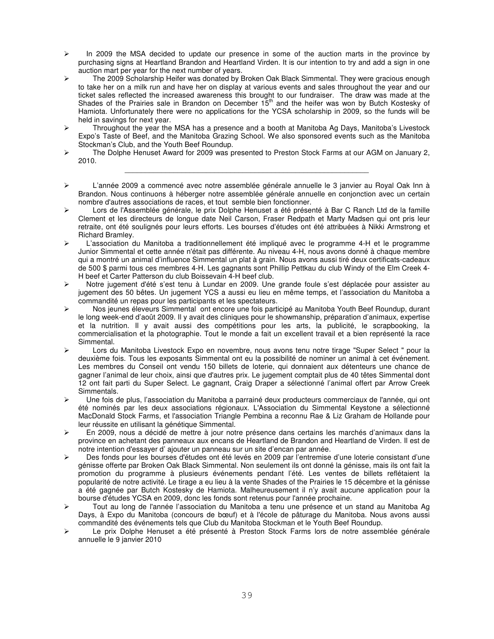- $\triangleright$  In 2009 the MSA decided to update our presence in some of the auction marts in the province by purchasing signs at Heartland Brandon and Heartland Virden. It is our intention to try and add a sign in one auction mart per year for the next number of years.
- $\triangleright$  The 2009 Scholarship Heifer was donated by Broken Oak Black Simmental. They were gracious enough to take her on a milk run and have her on display at various events and sales throughout the year and our ticket sales reflected the increased awareness this brought to our fundraiser. The draw was made at the Shades of the Prairies sale in Brandon on December  $15<sup>th</sup>$  and the heifer was won by Butch Kostesky of Hamiota. Unfortunately there were no applications for the YCSA scholarship in 2009, so the funds will be held in savings for next year.
- $\triangleright$  Throughout the year the MSA has a presence and a booth at Manitoba Ag Days, Manitoba's Livestock Expo's Taste of Beef, and the Manitoba Grazing School. We also sponsored events such as the Manitoba Stockman's Club, and the Youth Beef Roundup.
- $\triangleright$  The Dolphe Henuset Award for 2009 was presented to Preston Stock Farms at our AGM on January 2, 2010. \_\_\_\_\_\_\_\_\_\_\_\_\_\_\_\_\_\_\_\_\_\_\_\_\_\_\_\_\_\_\_\_\_\_\_\_\_\_\_\_\_\_\_\_\_\_\_\_\_\_\_\_\_\_\_\_\_\_\_\_
- L'année 2009 a commencé avec notre assemblée générale annuelle le 3 janvier au Royal Oak Inn à Brandon. Nous continuons à héberger notre assemblée générale annuelle en conjonction avec un certain nombre d'autres associations de races, et tout semble bien fonctionner.
- Lors de l'Assemblée générale, le prix Dolphe Henuset a été présenté à Bar C Ranch Ltd de la famille Clement et les directeurs de longue date Neil Carson, Fraser Redpath et Marty Madsen qui ont pris leur retraite, ont été soulignés pour leurs efforts. Les bourses d'études ont été attribuées à Nikki Armstrong et Richard Bramley.
- L'association du Manitoba a traditionnellement été impliqué avec le programme 4-H et le programme Junior Simmental et cette année n'était pas différente. Au niveau 4-H, nous avons donné à chaque membre qui a montré un animal d'influence Simmental un plat à grain. Nous avons aussi tiré deux certificats-cadeaux de 500 \$ parmi tous ces membres 4-H. Les gagnants sont Phillip Pettkau du club Windy of the Elm Creek 4- H beef et Carter Patterson du club Boissevain 4-H beef club.
- Notre jugement d'été s'est tenu à Lundar en 2009. Une grande foule s'est déplacée pour assister au jugement des 50 bêtes. Un jugement YCS a aussi eu lieu en même temps, et l'association du Manitoba a commandité un repas pour les participants et les spectateurs.
- ▶ Nos jeunes éleveurs Simmental ont encore une fois participé au Manitoba Youth Beef Roundup, durant le long week-end d'août 2009. Il y avait des cliniques pour le showmanship, préparation d'animaux, expertise et la nutrition. Il y avait aussi des compétitions pour les arts, la publicité, le scrapbooking, la commercialisation et la photographie. Tout le monde a fait un excellent travail et a bien représenté la race Simmental.
- Lors du Manitoba Livestock Expo en novembre, nous avons tenu notre tirage "Super Select " pour la deuxième fois. Tous les exposants Simmental ont eu la possibilité de nominer un animal à cet événement. Les membres du Conseil ont vendu 150 billets de loterie, qui donnaient aux détenteurs une chance de gagner l'animal de leur choix, ainsi que d'autres prix. Le jugement comptait plus de 40 têtes Simmental dont 12 ont fait parti du Super Select. Le gagnant, Craig Draper a sélectionné l'animal offert par Arrow Creek Simmentals.
- Une fois de plus, l'association du Manitoba a parrainé deux producteurs commerciaux de l'année, qui ont été nominés par les deux associations régionaux. L'Association du Simmental Keystone a sélectionné MacDonald Stock Farms, et l'association Triangle Pembina a reconnu Rae & Liz Graham de Hollande pour leur réussite en utilisant la génétique Simmental.
- En 2009, nous a décidé de mettre à jour notre présence dans certains les marchés d'animaux dans la province en achetant des panneaux aux encans de Heartland de Brandon and Heartland de Virden. Il est de notre intention d'essayer d' ajouter un panneau sur un site d'encan par année.
- Des fonds pour les bourses d'études ont été levés en 2009 par l'entremise d'une loterie consistant d'une génisse offerte par Broken Oak Black Simmental. Non seulement ils ont donné la génisse, mais ils ont fait la promotion du programme à plusieurs événements pendant l'été. Les ventes de billets reflétaient la popularité de notre activité. Le tirage a eu lieu à la vente Shades of the Prairies le 15 décembre et la génisse a été gagnée par Butch Kostesky de Hamiota. Malheureusement il n'y avait aucune application pour la bourse d'études YCSA en 2009, donc les fonds sont retenus pour l'année prochaine.
- Tout au long de l'année l'association du Manitoba a tenu une présence et un stand au Manitoba Ag Days, à Expo du Manitoba (concours de bœuf) et à l'école de pâturage du Manitoba. Nous avons aussi commandité des événements tels que Club du Manitoba Stockman et le Youth Beef Roundup.
- Le prix Dolphe Henuset a été présenté à Preston Stock Farms lors de notre assemblée générale annuelle le 9 janvier 2010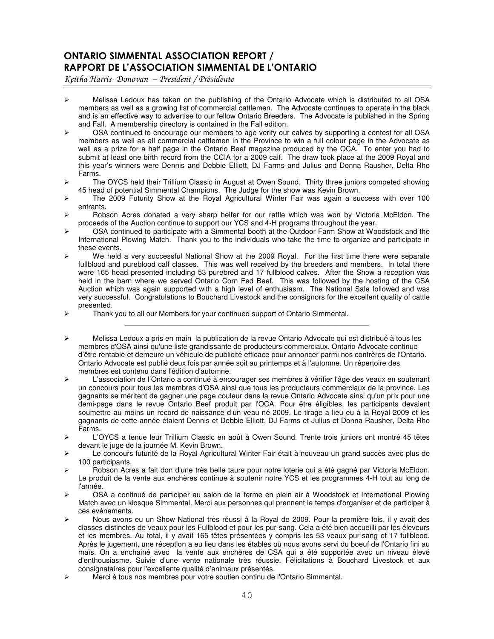## ONTARIO SIMMENTAL ASSOCIATION REPORT / RAPPORT DE L'ASSOCIATION SIMMENTAL DE L'ONTARIO

Keitha Harris-Donovan – President / Présidente

- $\triangleright$  Melissa Ledoux has taken on the publishing of the Ontario Advocate which is distributed to all OSA members as well as a growing list of commercial cattlemen. The Advocate continues to operate in the black and is an effective way to advertise to our fellow Ontario Breeders. The Advocate is published in the Spring and Fall. A membership directory is contained in the Fall edition.
- $\triangleright$  OSA continued to encourage our members to age verify our calves by supporting a contest for all OSA members as well as all commercial cattlemen in the Province to win a full colour page in the Advocate as well as a prize for a half page in the Ontario Beef magazine produced by the OCA. To enter you had to submit at least one birth record from the CCIA for a 2009 calf. The draw took place at the 2009 Royal and this year's winners were Dennis and Debbie Elliott, DJ Farms and Julius and Donna Rausher, Delta Rho Farms.
- ▶ The OYCS held their Trillium Classic in August at Owen Sound. Thirty three juniors competed showing 45 head of potential Simmental Champions. The Judge for the show was Kevin Brown.
- $\triangleright$  The 2009 Futurity Show at the Royal Agricultural Winter Fair was again a success with over 100 entrants.
- $\triangleright$  Robson Acres donated a very sharp heifer for our raffle which was won by Victoria McEldon. The proceeds of the Auction continue to support our YCS and 4-H programs throughout the year.
- OSA continued to participate with a Simmental booth at the Outdoor Farm Show at Woodstock and the International Plowing Match. Thank you to the individuals who take the time to organize and participate in these events.
- $\triangleright$  We held a very successful National Show at the 2009 Royal. For the first time there were separate fullblood and pureblood calf classes. This was well received by the breeders and members. In total there were 165 head presented including 53 purebred and 17 fullblood calves. After the Show a reception was held in the barn where we served Ontario Corn Fed Beef. This was followed by the hosting of the CSA Auction which was again supported with a high level of enthusiasm. The National Sale followed and was very successful. Congratulations to Bouchard Livestock and the consignors for the excellent quality of cattle presented.
- Thank you to all our Members for your continued support of Ontario Simmental.
- Melissa Ledoux a pris en main la publication de la revue Ontario Advocate qui est distribué à tous les membres d'OSA ainsi qu'une liste grandissante de producteurs commerciaux. Ontario Advocate continue d'être rentable et demeure un véhicule de publicité efficace pour annoncer parmi nos confrères de l'Ontario. Ontario Advocate est publié deux fois par année soit au printemps et à l'automne. Un répertoire des membres est contenu dans l'édition d'automne.

\_\_\_\_\_\_\_\_\_\_\_\_\_\_\_\_\_\_\_\_\_\_\_\_\_\_\_\_\_\_\_\_\_\_\_\_\_\_\_\_\_\_\_\_\_\_\_\_\_\_\_\_\_\_\_\_\_\_\_\_

- L'association de l'Ontario a continué à encourager ses membres à vérifier l'âge des veaux en soutenant un concours pour tous les membres d'OSA ainsi que tous les producteurs commerciaux de la province. Les gagnants se méritent de gagner une page couleur dans la revue Ontario Advocate ainsi qu'un prix pour une demi-page dans le revue Ontario Beef produit par l'OCA. Pour être éligibles, les participants devaient soumettre au moins un record de naissance d'un veau né 2009. Le tirage a lieu eu à la Royal 2009 et les gagnants de cette année étaient Dennis et Debbie Elliott, DJ Farms et Julius et Donna Rausher, Delta Rho Farms.
- L'OYCS a tenue leur Trillium Classic en août à Owen Sound. Trente trois juniors ont montré 45 têtes devant le juge de la journée M. Kevin Brown.
- Le concours futurité de la Royal Agricultural Winter Fair était à nouveau un grand succès avec plus de 100 participants.
- Robson Acres a fait don d'une très belle taure pour notre loterie qui a été gagné par Victoria McEldon. Le produit de la vente aux enchères continue à soutenir notre YCS et les programmes 4-H tout au long de l'année.
- OSA a continué de participer au salon de la ferme en plein air à Woodstock et International Plowing Match avec un kiosque Simmental. Merci aux personnes qui prennent le temps d'organiser et de participer à ces événements.
- ▶ Nous avons eu un Show National très réussi à la Royal de 2009. Pour la première fois, il y avait des classes distinctes de veaux pour les Fullblood et pour les pur-sang. Cela a été bien accueilli par les éleveurs et les membres. Au total, il y avait 165 têtes présentées y compris les 53 veaux pur-sang et 17 fullblood. Après le jugement, une réception a eu lieu dans les étables où nous avons servi du boeuf de l'Ontario fini au maïs. On a enchainé avec la vente aux enchères de CSA qui a été supportée avec un niveau élevé d'enthousiasme. Suivie d'une vente nationale très réussie. Félicitations à Bouchard Livestock et aux consignataires pour l'excellente qualité d'animaux présentés.
- Merci à tous nos membres pour votre soutien continu de l'Ontario Simmental.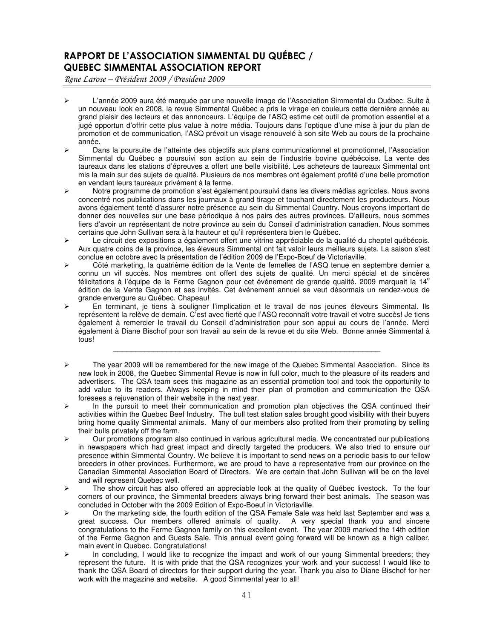## RAPPORT DE L'ASSOCIATION SIMMENTAL DU QUÉBEC / QUEBEC SIMMENTAL ASSOCIATION REPORT

Rene Larose – Président 2009 / President 2009

- L'année 2009 aura été marquée par une nouvelle image de l'Association Simmental du Québec. Suite à un nouveau look en 2008, la revue Simmental Québec a pris le virage en couleurs cette dernière année au grand plaisir des lecteurs et des annonceurs. L'équipe de l'ASQ estime cet outil de promotion essentiel et a jugé opportun d'offrir cette plus value à notre média. Toujours dans l'optique d'une mise à jour du plan de promotion et de communication, l'ASQ prévoit un visage renouvelé à son site Web au cours de la prochaine année.
- Dans la poursuite de l'atteinte des objectifs aux plans communicationnel et promotionnel, l'Association Simmental du Québec a poursuivi son action au sein de l'industrie bovine québécoise. La vente des taureaux dans les stations d'épreuves a offert une belle visibilité. Les acheteurs de taureaux Simmental ont mis la main sur des sujets de qualité. Plusieurs de nos membres ont également profité d'une belle promotion en vendant leurs taureaux privément à la ferme.
- Notre programme de promotion s'est également poursuivi dans les divers médias agricoles. Nous avons concentré nos publications dans les journaux à grand tirage et touchant directement les producteurs. Nous avons également tenté d'assurer notre présence au sein du Simmental Country. Nous croyons important de donner des nouvelles sur une base périodique à nos pairs des autres provinces. D'ailleurs, nous sommes fiers d'avoir un représentant de notre province au sein du Conseil d'administration canadien. Nous sommes certains que John Sullivan sera à la hauteur et qu'il représentera bien le Québec.
- Le circuit des expositions a également offert une vitrine appréciable de la qualité du cheptel québécois. Aux quatre coins de la province, les éleveurs Simmental ont fait valoir leurs meilleurs sujets. La saison s'est conclue en octobre avec la présentation de l'édition 2009 de l'Expo-Bœuf de Victoriaville.
- Côté marketing, la quatrième édition de la Vente de femelles de l'ASQ tenue en septembre dernier a connu un vif succès. Nos membres ont offert des sujets de qualité. Un merci spécial et de sincères félicitations à l'équipe de la Ferme Gagnon pour cet événement de grande qualité. 2009 marquait la 14<sup>e</sup> édition de la Vente Gagnon et ses invités. Cet événement annuel se veut désormais un rendez-vous de grande envergure au Québec. Chapeau!
- En terminant, je tiens à souligner l'implication et le travail de nos jeunes éleveurs Simmental. Ils représentent la relève de demain. C'est avec fierté que l'ASQ reconnaît votre travail et votre succès! Je tiens également à remercier le travail du Conseil d'administration pour son appui au cours de l'année. Merci également à Diane Bischof pour son travail au sein de la revue et du site Web. Bonne année Simmental à tous!

\_\_\_\_\_\_\_\_\_\_\_\_\_\_\_\_\_\_\_\_\_\_\_\_\_\_\_\_\_\_\_\_\_\_\_\_\_\_\_\_\_\_\_\_\_\_\_\_\_\_\_\_\_\_\_\_\_\_\_\_

- $\triangleright$  The year 2009 will be remembered for the new image of the Quebec Simmental Association. Since its new look in 2008, the Quebec Simmental Revue is now in full color, much to the pleasure of its readers and advertisers. The QSA team sees this magazine as an essential promotion tool and took the opportunity to add value to its readers. Always keeping in mind their plan of promotion and communication the QSA foresees a rejuvenation of their website in the next year.
- $\triangleright$  In the pursuit to meet their communication and promotion plan objectives the QSA continued their activities within the Quebec Beef Industry. The bull test station sales brought good visibility with their buyers bring home quality Simmental animals. Many of our members also profited from their promoting by selling their bulls privately off the farm.
- $\triangleright$  Our promotions program also continued in various agricultural media. We concentrated our publications in newspapers which had great impact and directly targeted the producers. We also tried to ensure our presence within Simmental Country. We believe it is important to send news on a periodic basis to our fellow breeders in other provinces. Furthermore, we are proud to have a representative from our province on the Canadian Simmental Association Board of Directors. We are certain that John Sullivan will be on the level and will represent Quebec well.
- $\triangleright$  The show circuit has also offered an appreciable look at the quality of Québec livestock. To the four corners of our province, the Simmental breeders always bring forward their best animals. The season was concluded in October with the 2009 Edition of Expo-Boeuf in Victoriaville.
- On the marketing side, the fourth edition of the QSA Female Sale was held last September and was a great success. Our members offered animals of quality. A very special thank you and sincere congratulations to the Ferme Gagnon family on this excellent event. The year 2009 marked the 14th edition of the Ferme Gagnon and Guests Sale. This annual event going forward will be known as a high caliber, main event in Quebec. Congratulations!
- $\triangleright$  In concluding, I would like to recognize the impact and work of our young Simmental breeders; they represent the future. It is with pride that the QSA recognizes your work and your success! I would like to thank the QSA Board of directors for their support during the year. Thank you also to Diane Bischof for her work with the magazine and website. A good Simmental year to all!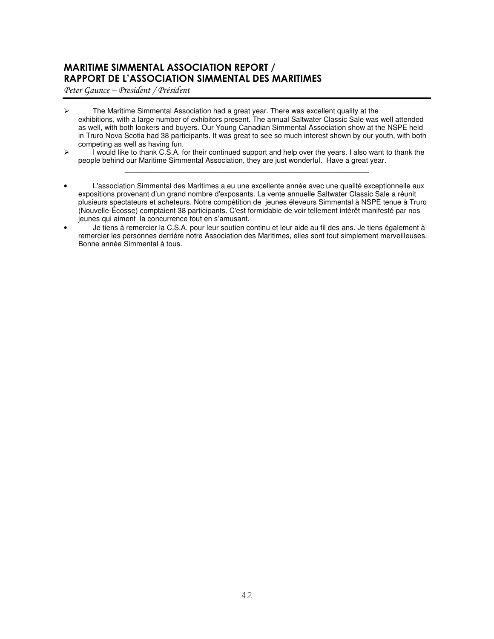## MARITIME SIMMENTAL ASSOCIATION REPORT / RAPPORT DE L'ASSOCIATION SIMMENTAL DES MARITIMES

Peter Gaunce - President / Président

- The Maritime Simmental Association had a great year. There was excellent quality at the exhibitions, with a large number of exhibitors present. The annual Saltwater Classic Sale was well attended as well, with both lookers and buyers. Our Young Canadian Simmental Association show at the NSPE held in Truro Nova Scotia had 38 participants. It was great to see so much interest shown by our youth, with both competing as well as having fun.
- $\triangleright$  I would like to thank C.S.A. for their continued support and help over the years. I also want to thank the people behind our Maritime Simmental Association, they are just wonderful. Have a great year. \_\_\_\_\_\_\_\_\_\_\_\_\_\_\_\_\_\_\_\_\_\_\_\_\_\_\_\_\_\_\_\_\_\_\_\_\_\_\_\_\_\_\_\_\_\_\_\_\_\_\_\_\_\_\_\_\_\_\_\_
- L'association Simmental des Maritimes a eu une excellente année avec une qualité exceptionnelle aux expositions provenant d'un grand nombre d'exposants. La vente annuelle Saltwater Classic Sale a réunit plusieurs spectateurs et acheteurs. Notre compétition de jeunes éleveurs Simmental à NSPE tenue à Truro (Nouvelle-Écosse) comptaient 38 participants. C'est formidable de voir tellement intérêt manifesté par nos jeunes qui aiment la concurrence tout en s'amusant.
- Je tiens à remercier la C.S.A. pour leur soutien continu et leur aide au fil des ans. Je tiens également à remercier les personnes derrière notre Association des Maritimes, elles sont tout simplement merveilleuses. Bonne année Simmental à tous.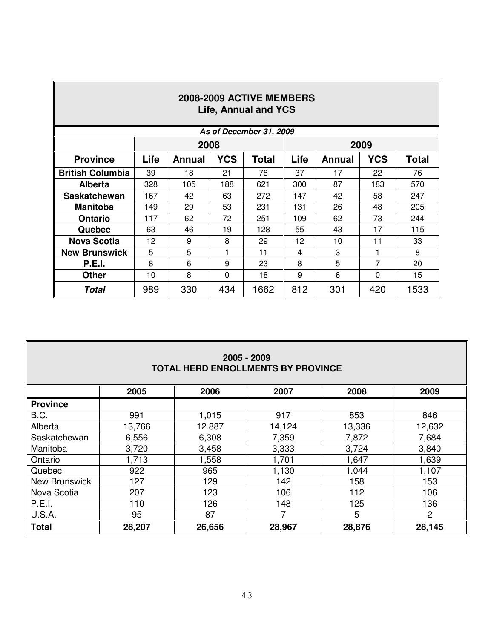| 2008-2009 ACTIVE MEMBERS<br><b>Life, Annual and YCS</b> |      |        |            |                         |      |               |            |              |  |
|---------------------------------------------------------|------|--------|------------|-------------------------|------|---------------|------------|--------------|--|
|                                                         |      |        |            | As of December 31, 2009 |      |               |            |              |  |
|                                                         |      | 2008   |            |                         |      |               | 2009       |              |  |
| <b>Province</b>                                         | Life | Annual | <b>YCS</b> | <b>Total</b>            | Life | <b>Annual</b> | <b>YCS</b> | <b>Total</b> |  |
| <b>British Columbia</b>                                 | 39   | 18     | 21         | 78                      | 37   | 17            | 22         | 76           |  |
| <b>Alberta</b>                                          | 328  | 105    | 188        | 621                     | 300  | 87            | 183        | 570          |  |
| <b>Saskatchewan</b>                                     | 167  | 42     | 63         | 272                     | 147  | 42            | 58         | 247          |  |
| <b>Manitoba</b>                                         | 149  | 29     | 53         | 231                     | 131  | 26            | 48         | 205          |  |
| <b>Ontario</b>                                          | 117  | 62     | 72         | 251                     | 109  | 62            | 73         | 244          |  |
| Quebec                                                  | 63   | 46     | 19         | 128                     | 55   | 43            | 17         | 115          |  |
| <b>Nova Scotia</b>                                      | 12   | 9      | 8          | 29                      | 12   | 10            | 11         | 33           |  |
| <b>New Brunswick</b>                                    | 5    | 5      | 1          | 11                      | 4    | 3             | 1          | 8            |  |
| <b>P.E.I.</b>                                           | 8    | 6      | 9          | 23                      | 8    | 5             | 7          | 20           |  |
| <b>Other</b>                                            | 10   | 8      | 0          | 18                      | 9    | 6             | 0          | 15           |  |
| <b>Total</b>                                            | 989  | 330    | 434        | 1662                    | 812  | 301           | 420        | 1533         |  |

| 2005 - 2009                        |  |
|------------------------------------|--|
| TOTAL HERD ENROLLMENTS BY PROVINCE |  |

|                 | 2005   | 2006   | 2007   | 2008   | 2009           |
|-----------------|--------|--------|--------|--------|----------------|
| <b>Province</b> |        |        |        |        |                |
| B.C.            | 991    | 1,015  | 917    | 853    | 846            |
| Alberta         | 13,766 | 12.887 | 14,124 | 13,336 | 12,632         |
| Saskatchewan    | 6,556  | 6,308  | 7,359  | 7,872  | 7,684          |
| Manitoba        | 3,720  | 3,458  | 3,333  | 3,724  | 3,840          |
| Ontario         | 1,713  | 1,558  | 1,701  | 1,647  | 1,639          |
| Quebec          | 922    | 965    | 1,130  | 1,044  | 1,107          |
| New Brunswick   | 127    | 129    | 142    | 158    | 153            |
| Nova Scotia     | 207    | 123    | 106    | 112    | 106            |
| P.E.I.          | 110    | 126    | 148    | 125    | 136            |
| U.S.A.          | 95     | 87     |        | 5      | $\overline{2}$ |
| <b>Total</b>    | 28,207 | 26,656 | 28,967 | 28,876 | 28,145         |